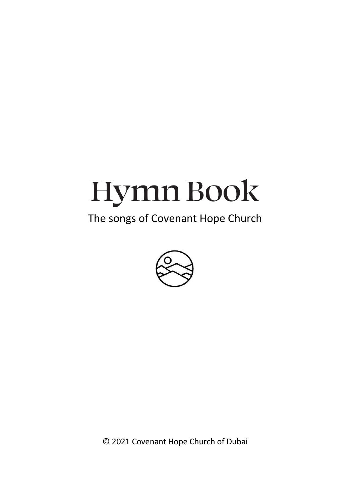# **Hymn Book**

### The songs of Covenant Hope Church



© 2021 Covenant Hope Church of Dubai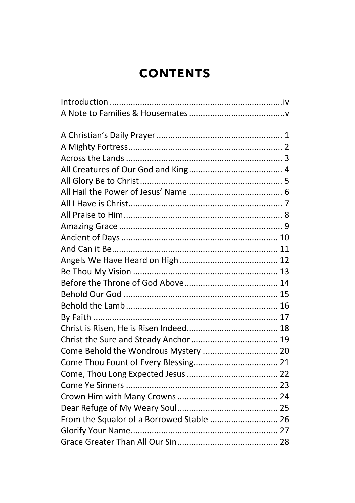#### **CONTENTS**

| Come Behold the Wondrous Mystery  20      |  |
|-------------------------------------------|--|
|                                           |  |
|                                           |  |
|                                           |  |
|                                           |  |
|                                           |  |
| From the Squalor of a Borrowed Stable  26 |  |
|                                           |  |
|                                           |  |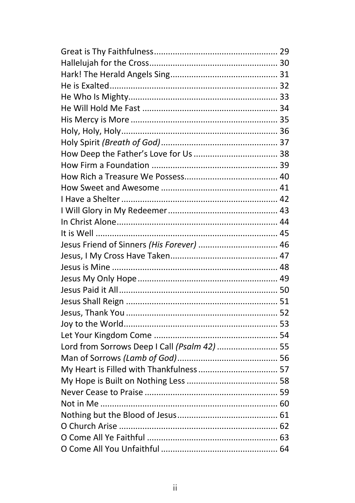| Jesus Friend of Sinners (His Forever)  46    |  |
|----------------------------------------------|--|
|                                              |  |
|                                              |  |
|                                              |  |
|                                              |  |
|                                              |  |
|                                              |  |
|                                              |  |
|                                              |  |
| Lord from Sorrows Deep I Call (Psalm 42)  55 |  |
|                                              |  |
|                                              |  |
|                                              |  |
|                                              |  |
|                                              |  |
|                                              |  |
|                                              |  |
|                                              |  |
|                                              |  |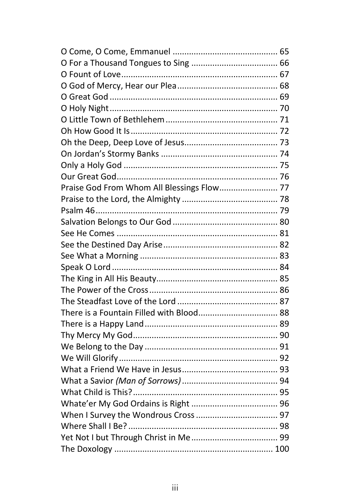| Praise God From Whom All Blessings Flow 77 |  |
|--------------------------------------------|--|
|                                            |  |
|                                            |  |
|                                            |  |
|                                            |  |
|                                            |  |
|                                            |  |
|                                            |  |
|                                            |  |
|                                            |  |
|                                            |  |
|                                            |  |
|                                            |  |
|                                            |  |
|                                            |  |
|                                            |  |
|                                            |  |
|                                            |  |
|                                            |  |
|                                            |  |
|                                            |  |
|                                            |  |
|                                            |  |
|                                            |  |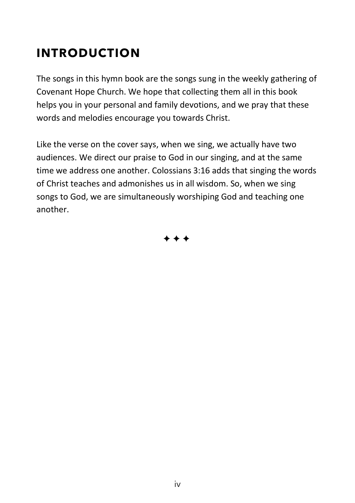## <span id="page-4-0"></span>**INTRODUCTION**

The songs in this hymn book are the songs sung in the weekly gathering of Covenant Hope Church. We hope that collecting them all in this book helps you in your personal and family devotions, and we pray that these words and melodies encourage you towards Christ.

Like the verse on the cover says, when we sing, we actually have two audiences. We direct our praise to God in our singing, and at the same time we address one another. Colossians 3:16 adds that singing the words of Christ teaches and admonishes us in all wisdom. So, when we sing songs to God, we are simultaneously worshiping God and teaching one another.

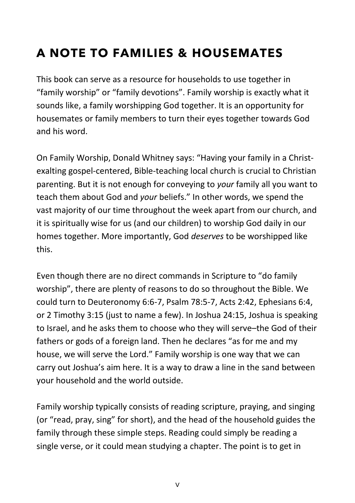## <span id="page-5-0"></span>**A NOTE TO FAMILIES & HOUSEMATES**

This book can serve as a resource for households to use together in "family worship" or "family devotions". Family worship is exactly what it sounds like, a family worshipping God together. It is an opportunity for housemates or family members to turn their eyes together towards God and his word.

On Family Worship, Donald Whitney says: "Having your family in a Christexalting gospel-centered, Bible-teaching local church is crucial to Christian parenting. But it is not enough for conveying to *your* family all you want to teach them about God and *your* beliefs." In other words, we spend the vast majority of our time throughout the week apart from our church, and it is spiritually wise for us (and our children) to worship God daily in our homes together. More importantly, God *deserves* to be worshipped like this.

Even though there are no direct commands in Scripture to "do family worship", there are plenty of reasons to do so throughout the Bible. We could turn to Deuteronomy 6:6-7, Psalm 78:5-7, Acts 2:42, Ephesians 6:4, or 2 Timothy 3:15 (just to name a few). In Joshua 24:15, Joshua is speaking to Israel, and he asks them to choose who they will serve–the God of their fathers or gods of a foreign land. Then he declares "as for me and my house, we will serve the Lord." Family worship is one way that we can carry out Joshua's aim here. It is a way to draw a line in the sand between your household and the world outside.

Family worship typically consists of reading scripture, praying, and singing (or "read, pray, sing" for short), and the head of the household guides the family through these simple steps. Reading could simply be reading a single verse, or it could mean studying a chapter. The point is to get in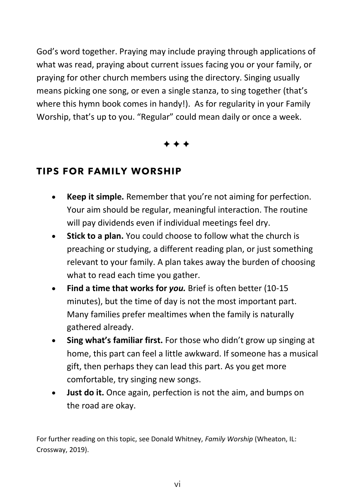God's word together. Praying may include praying through applications of what was read, praying about current issues facing you or your family, or praying for other church members using the directory. Singing usually means picking one song, or even a single stanza, to sing together (that's where this hymn book comes in handy!). As for regularity in your Family Worship, that's up to you. "Regular" could mean daily or once a week.

✦ ✦ ✦

#### **TIPS FOR FAMILY WORSHIP**

- **Keep it simple.** Remember that you're not aiming for perfection. Your aim should be regular, meaningful interaction. The routine will pay dividends even if individual meetings feel dry.
- **Stick to a plan.** You could choose to follow what the church is preaching or studying, a different reading plan, or just something relevant to your family. A plan takes away the burden of choosing what to read each time you gather.
- **Find a time that works for** *you.* Brief is often better (10-15 minutes), but the time of day is not the most important part. Many families prefer mealtimes when the family is naturally gathered already.
- **Sing what's familiar first.** For those who didn't grow up singing at home, this part can feel a little awkward. If someone has a musical gift, then perhaps they can lead this part. As you get more comfortable, try singing new songs.
- **Just do it.** Once again, perfection is not the aim, and bumps on the road are okay.

For further reading on this topic, see Donald Whitney, *Family Worship* (Wheaton, IL: Crossway, 2019).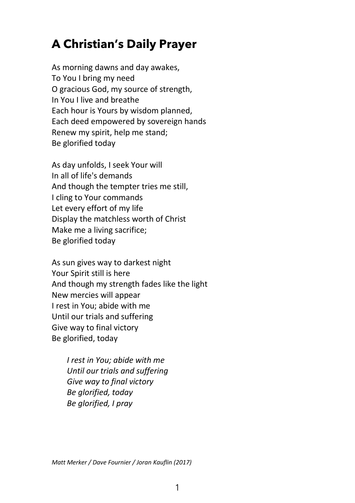## <span id="page-7-0"></span>**A Christian's Daily Prayer**

As morning dawns and day awakes, To You I bring my need O gracious God, my source of strength, In You I live and breathe Each hour is Yours by wisdom planned, Each deed empowered by sovereign hands Renew my spirit, help me stand; Be glorified today

As day unfolds, I seek Your will In all of life's demands And though the tempter tries me still, I cling to Your commands Let every effort of my life Display the matchless worth of Christ Make me a living sacrifice; Be glorified today

As sun gives way to darkest night Your Spirit still is here And though my strength fades like the light New mercies will appear I rest in You; abide with me Until our trials and suffering Give way to final victory Be glorified, today

*I rest in You; abide with me Until our trials and suffering Give way to final victory Be glorified, today Be glorified, I pray*

*Matt Merker / Dave Fournier / Joran Kauflin (2017)*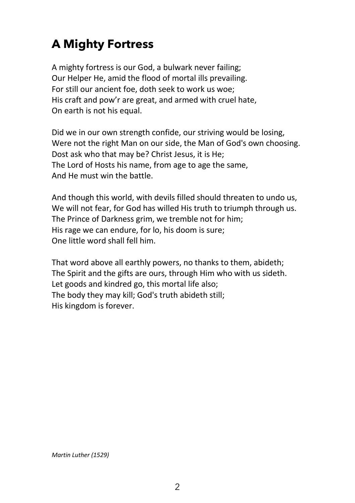## <span id="page-8-0"></span>**A Mighty Fortress**

A mighty fortress is our God, a bulwark never failing; Our Helper He, amid the flood of mortal ills prevailing. For still our ancient foe, doth seek to work us woe; His craft and pow'r are great, and armed with cruel hate, On earth is not his equal.

Did we in our own strength confide, our striving would be losing, Were not the right Man on our side, the Man of God's own choosing. Dost ask who that may be? Christ Jesus, it is He; The Lord of Hosts his name, from age to age the same, And He must win the battle.

And though this world, with devils filled should threaten to undo us, We will not fear, for God has willed His truth to triumph through us. The Prince of Darkness grim, we tremble not for him; His rage we can endure, for lo, his doom is sure; One little word shall fell him.

That word above all earthly powers, no thanks to them, abideth; The Spirit and the gifts are ours, through Him who with us sideth. Let goods and kindred go, this mortal life also; The body they may kill; God's truth abideth still; His kingdom is forever.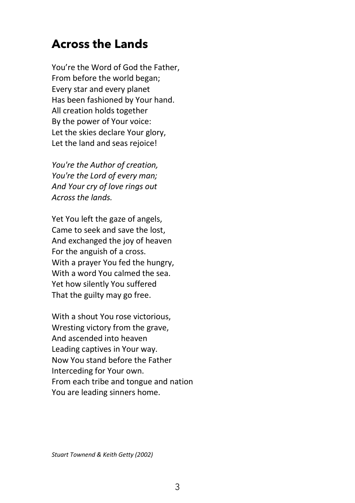#### <span id="page-9-0"></span>**Across the Lands**

You're the Word of God the Father, From before the world began; Every star and every planet Has been fashioned by Your hand. All creation holds together By the power of Your voice: Let the skies declare Your glory, Let the land and seas rejoice!

*You're the Author of creation, You're the Lord of every man; And Your cry of love rings out Across the lands.*

Yet You left the gaze of angels, Came to seek and save the lost, And exchanged the joy of heaven For the anguish of a cross. With a prayer You fed the hungry, With a word You calmed the sea. Yet how silently You suffered That the guilty may go free.

With a shout You rose victorious, Wresting victory from the grave, And ascended into heaven Leading captives in Your way. Now You stand before the Father Interceding for Your own. From each tribe and tongue and nation You are leading sinners home.

*Stuart Townend & Keith Getty (2002)*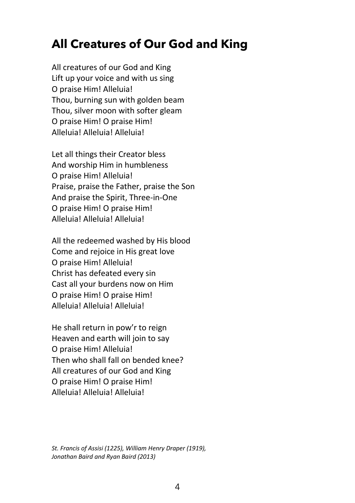#### <span id="page-10-0"></span>**All Creatures of Our God and King**

All creatures of our God and King Lift up your voice and with us sing O praise Him! Alleluia! Thou, burning sun with golden beam Thou, silver moon with softer gleam O praise Him! O praise Him! Alleluia! Alleluia! Alleluia!

Let all things their Creator bless And worship Him in humbleness O praise Him! Alleluia! Praise, praise the Father, praise the Son And praise the Spirit, Three-in-One O praise Him! O praise Him! Alleluia! Alleluia! Alleluia!

All the redeemed washed by His blood Come and rejoice in His great love O praise Him! Alleluia! Christ has defeated every sin Cast all your burdens now on Him O praise Him! O praise Him! Alleluia! Alleluia! Alleluia!

He shall return in pow'r to reign Heaven and earth will join to say O praise Him! Alleluia! Then who shall fall on bended knee? All creatures of our God and King O praise Him! O praise Him! Alleluia! Alleluia! Alleluia!

*St. Francis of Assisi (1225), William Henry Draper (1919), Jonathan Baird and Ryan Baird (2013)*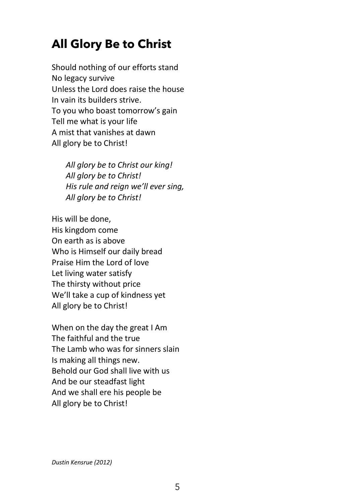## <span id="page-11-0"></span>**All Glory Be to Christ**

Should nothing of our efforts stand No legacy survive Unless the Lord does raise the house In vain its builders strive. To you who boast tomorrow's gain Tell me what is your life A mist that vanishes at dawn All glory be to Christ!

> *All glory be to Christ our king! All glory be to Christ! His rule and reign we'll ever sing, All glory be to Christ!*

His will be done, His kingdom come On earth as is above Who is Himself our daily bread Praise Him the Lord of love Let living water satisfy The thirsty without price We'll take a cup of kindness yet All glory be to Christ!

When on the day the great I Am The faithful and the true The Lamb who was for sinners slain Is making all things new. Behold our God shall live with us And be our steadfast light And we shall ere his people be All glory be to Christ!

*Dustin Kensrue (2012)*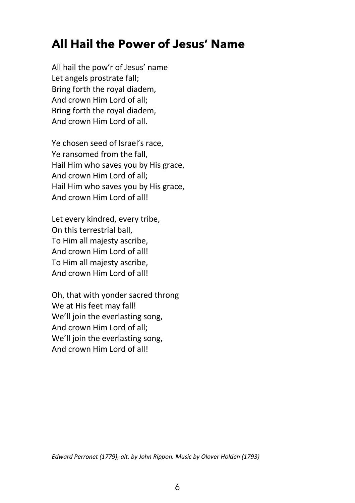#### <span id="page-12-0"></span>**All Hail the Power of Jesus' Name**

All hail the pow'r of Jesus' name Let angels prostrate fall; Bring forth the royal diadem, And crown Him Lord of all; Bring forth the royal diadem, And crown Him Lord of all.

Ye chosen seed of Israel's race, Ye ransomed from the fall, Hail Him who saves you by His grace, And crown Him Lord of all; Hail Him who saves you by His grace, And crown Him Lord of all!

Let every kindred, every tribe, On this terrestrial ball, To Him all majesty ascribe, And crown Him Lord of all! To Him all majesty ascribe, And crown Him Lord of all!

Oh, that with yonder sacred throng We at His feet may fall! We'll join the everlasting song, And crown Him Lord of all; We'll join the everlasting song, And crown Him Lord of all!

*Edward Perronet (1779), alt. by John Rippon. Music by Olover Holden (1793)*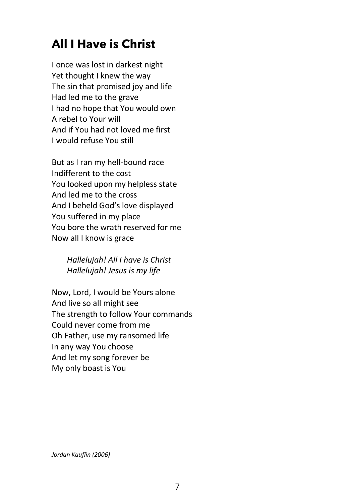## <span id="page-13-0"></span>**All I Have is Christ**

I once was lost in darkest night Yet thought I knew the way The sin that promised joy and life Had led me to the grave I had no hope that You would own A rebel to Your will And if You had not loved me first I would refuse You still

But as I ran my hell-bound race Indifferent to the cost You looked upon my helpless state And led me to the cross And I beheld God's love displayed You suffered in my place You bore the wrath reserved for me Now all I know is grace

> *Hallelujah! All I have is Christ Hallelujah! Jesus is my life*

Now, Lord, I would be Yours alone And live so all might see The strength to follow Your commands Could never come from me Oh Father, use my ransomed life In any way You choose And let my song forever be My only boast is You

*Jordan Kauflin (2006)*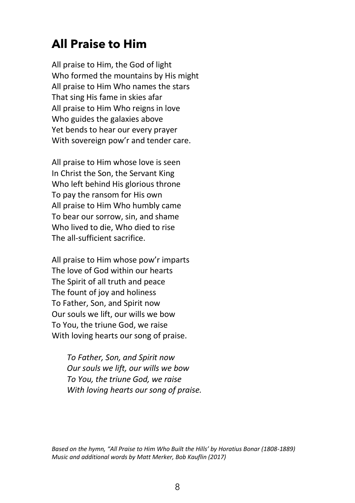### <span id="page-14-0"></span>**All Praise to Him**

All praise to Him, the God of light Who formed the mountains by His might All praise to Him Who names the stars That sing His fame in skies afar All praise to Him Who reigns in love Who guides the galaxies above Yet bends to hear our every prayer With sovereign pow'r and tender care.

All praise to Him whose love is seen In Christ the Son, the Servant King Who left behind His glorious throne To pay the ransom for His own All praise to Him Who humbly came To bear our sorrow, sin, and shame Who lived to die, Who died to rise The all-sufficient sacrifice.

All praise to Him whose pow'r imparts The love of God within our hearts The Spirit of all truth and peace The fount of joy and holiness To Father, Son, and Spirit now Our souls we lift, our wills we bow To You, the triune God, we raise With loving hearts our song of praise.

> *To Father, Son, and Spirit now Our souls we lift, our wills we bow To You, the triune God, we raise With loving hearts our song of praise.*

*Based on the hymn, "All Praise to Him Who Built the Hills' by Horatius Bonar (1808-1889) Music and additional words by Matt Merker, Bob Kauflin (2017)*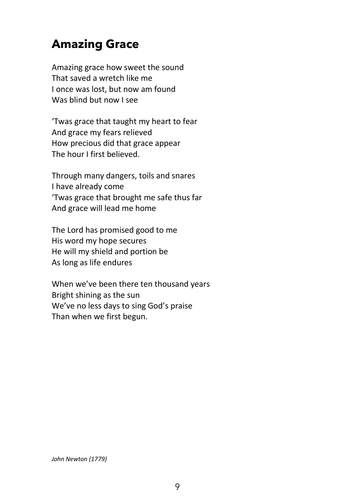## <span id="page-15-0"></span>**Amazing Grace**

Amazing grace how sweet the sound That saved a wretch like me I once was lost, but now am found Was blind but now I see

'Twas grace that taught my heart to fear And grace my fears relieved How precious did that grace appear The hour I first believed.

Through many dangers, toils and snares I have already come 'Twas grace that brought me safe thus far And grace will lead me home

The Lord has promised good to me His word my hope secures He will my shield and portion be As long as life endures

When we've been there ten thousand years Bright shining as the sun We've no less days to sing God's praise Than when we first begun.

*John Newton (1779)*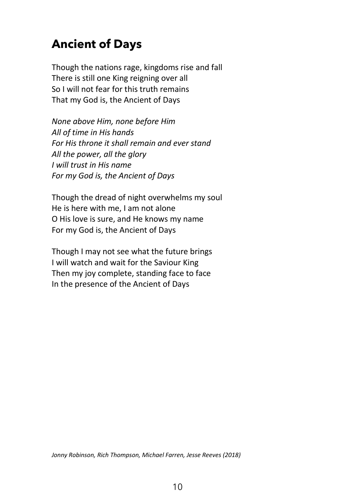## <span id="page-16-0"></span>**Ancient of Days**

Though the nations rage, kingdoms rise and fall There is still one King reigning over all So I will not fear for this truth remains That my God is, the Ancient of Days

*None above Him, none before Him All of time in His hands For His throne it shall remain and ever stand All the power, all the glory I will trust in His name For my God is, the Ancient of Days*

Though the dread of night overwhelms my soul He is here with me, I am not alone O His love is sure, and He knows my name For my God is, the Ancient of Days

Though I may not see what the future brings I will watch and wait for the Saviour King Then my joy complete, standing face to face In the presence of the Ancient of Days

*Jonny Robinson, Rich Thompson, Michael Farren, Jesse Reeves (2018)*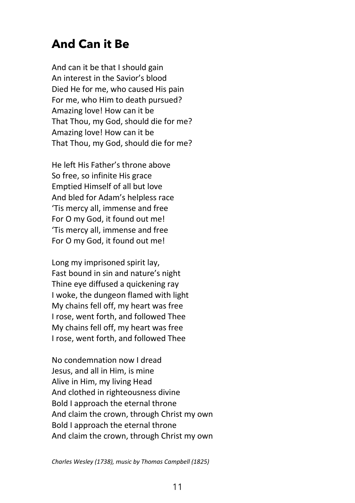## <span id="page-17-0"></span>**And Can it Be**

And can it be that I should gain An interest in the Savior's blood Died He for me, who caused His pain For me, who Him to death pursued? Amazing love! How can it be That Thou, my God, should die for me? Amazing love! How can it be That Thou, my God, should die for me?

He left His Father's throne above So free, so infinite His grace Emptied Himself of all but love And bled for Adam's helpless race 'Tis mercy all, immense and free For O my God, it found out me! 'Tis mercy all, immense and free For O my God, it found out me!

Long my imprisoned spirit lay, Fast bound in sin and nature's night Thine eye diffused a quickening ray I woke, the dungeon flamed with light My chains fell off, my heart was free I rose, went forth, and followed Thee My chains fell off, my heart was free I rose, went forth, and followed Thee

No condemnation now I dread Jesus, and all in Him, is mine Alive in Him, my living Head And clothed in righteousness divine Bold I approach the eternal throne And claim the crown, through Christ my own Bold I approach the eternal throne And claim the crown, through Christ my own

*Charles Wesley (1738), music by Thomas Campbell (1825)*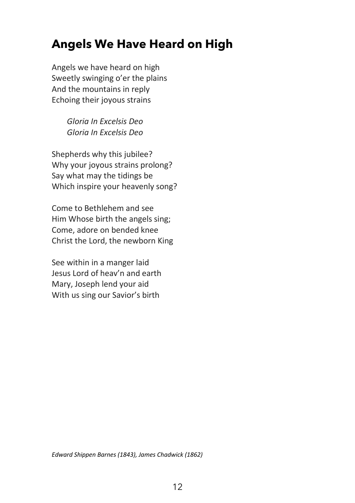#### <span id="page-18-0"></span>**Angels We Have Heard on High**

Angels we have heard on high Sweetly swinging o'er the plains And the mountains in reply Echoing their joyous strains

> *Gloria In Excelsis Deo Gloria In Excelsis Deo*

Shepherds why this jubilee? Why your joyous strains prolong? Say what may the tidings be Which inspire your heavenly song?

Come to Bethlehem and see Him Whose birth the angels sing; Come, adore on bended knee Christ the Lord, the newborn King

See within in a manger laid Jesus Lord of heav'n and earth Mary, Joseph lend your aid With us sing our Savior's birth

*Edward Shippen Barnes (1843), James Chadwick (1862)*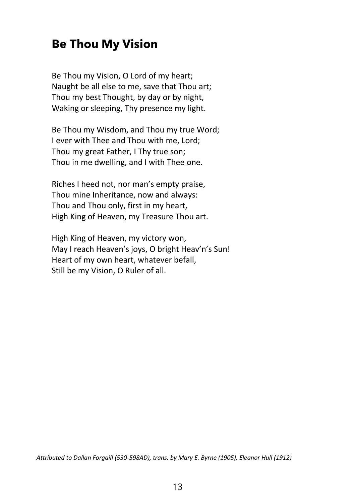#### <span id="page-19-0"></span>**Be Thou My Vision**

Be Thou my Vision, O Lord of my heart; Naught be all else to me, save that Thou art; Thou my best Thought, by day or by night, Waking or sleeping, Thy presence my light.

Be Thou my Wisdom, and Thou my true Word; I ever with Thee and Thou with me, Lord; Thou my great Father, I Thy true son; Thou in me dwelling, and I with Thee one.

Riches I heed not, nor man's empty praise, Thou mine Inheritance, now and always: Thou and Thou only, first in my heart, High King of Heaven, my Treasure Thou art.

High King of Heaven, my victory won, May I reach Heaven's joys, O bright Heav'n's Sun! Heart of my own heart, whatever befall, Still be my Vision, O Ruler of all.

*Attributed to Dallan Forgaill (530-598AD), trans. by Mary E. Byrne (1905), Eleanor Hull (1912)*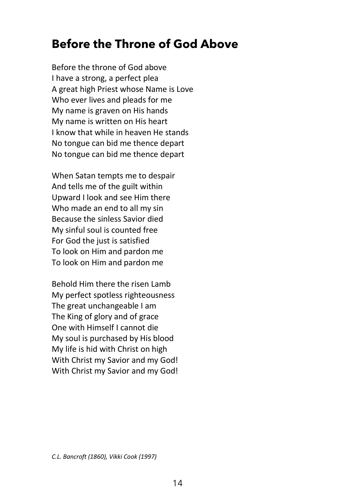#### <span id="page-20-0"></span>**Before the Throne of God Above**

Before the throne of God above I have a strong, a perfect plea A great high Priest whose Name is Love Who ever lives and pleads for me My name is graven on His hands My name is written on His heart I know that while in heaven He stands No tongue can bid me thence depart No tongue can bid me thence depart

When Satan tempts me to despair And tells me of the guilt within Upward I look and see Him there Who made an end to all my sin Because the sinless Savior died My sinful soul is counted free For God the just is satisfied To look on Him and pardon me To look on Him and pardon me

Behold Him there the risen Lamb My perfect spotless righteousness The great unchangeable I am The King of glory and of grace One with Himself I cannot die My soul is purchased by His blood My life is hid with Christ on high With Christ my Savior and my God! With Christ my Savior and my God!

*C.L. Bancroft (1860), Vikki Cook (1997)*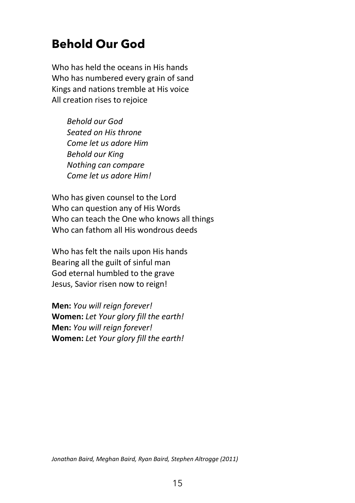#### <span id="page-21-0"></span>**Behold Our God**

Who has held the oceans in His hands Who has numbered every grain of sand Kings and nations tremble at His voice All creation rises to rejoice

> *Behold our God Seated on His throne Come let us adore Him Behold our King Nothing can compare Come let us adore Him!*

Who has given counsel to the Lord Who can question any of His Words Who can teach the One who knows all things Who can fathom all His wondrous deeds

Who has felt the nails upon His hands Bearing all the guilt of sinful man God eternal humbled to the grave Jesus, Savior risen now to reign!

**Men:** *You will reign forever!* **Women:** *Let Your glory fill the earth!* **Men:** *You will reign forever!* **Women:** *Let Your glory fill the earth!*

*Jonathan Baird, Meghan Baird, Ryan Baird, Stephen Altrogge (2011)*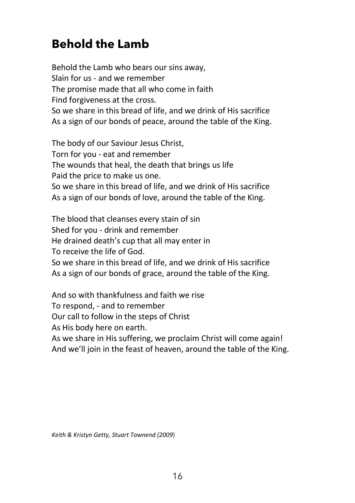## <span id="page-22-0"></span>**Behold the Lamb**

Behold the Lamb who bears our sins away, Slain for us - and we remember The promise made that all who come in faith Find forgiveness at the cross. So we share in this bread of life, and we drink of His sacrifice As a sign of our bonds of peace, around the table of the King.

The body of our Saviour Jesus Christ, Torn for you - eat and remember The wounds that heal, the death that brings us life Paid the price to make us one. So we share in this bread of life, and we drink of His sacrifice As a sign of our bonds of love, around the table of the King.

The blood that cleanses every stain of sin Shed for you - drink and remember He drained death's cup that all may enter in To receive the life of God. So we share in this bread of life, and we drink of His sacrifice As a sign of our bonds of grace, around the table of the King.

And so with thankfulness and faith we rise To respond, - and to remember Our call to follow in the steps of Christ As His body here on earth.

As we share in His suffering, we proclaim Christ will come again! And we'll join in the feast of heaven, around the table of the King.

*Keith & Kristyn Getty, Stuart Townend (2009*)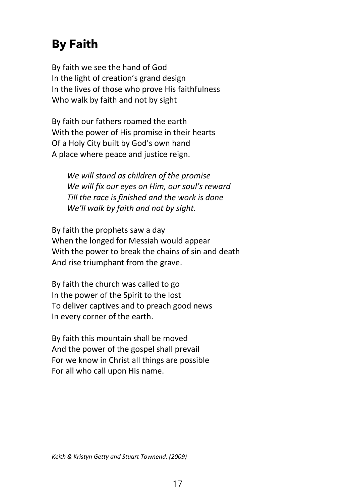## <span id="page-23-0"></span>**By Faith**

By faith we see the hand of God In the light of creation's grand design In the lives of those who prove His faithfulness Who walk by faith and not by sight

By faith our fathers roamed the earth With the power of His promise in their hearts Of a Holy City built by God's own hand A place where peace and justice reign.

*We will stand as children of the promise We will fix our eyes on Him, our soul's reward Till the race is finished and the work is done We'll walk by faith and not by sight.*

By faith the prophets saw a day When the longed for Messiah would appear With the power to break the chains of sin and death And rise triumphant from the grave.

By faith the church was called to go In the power of the Spirit to the lost To deliver captives and to preach good news In every corner of the earth.

By faith this mountain shall be moved And the power of the gospel shall prevail For we know in Christ all things are possible For all who call upon His name.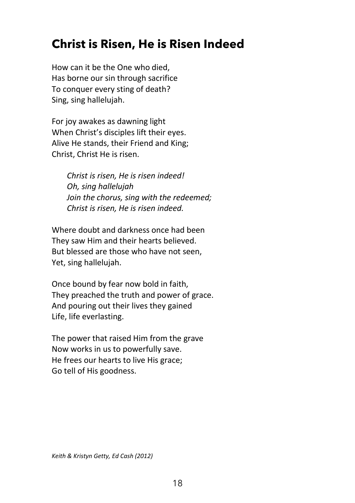#### <span id="page-24-0"></span>**Christ is Risen, He is Risen Indeed**

How can it be the One who died, Has borne our sin through sacrifice To conquer every sting of death? Sing, sing hallelujah.

For joy awakes as dawning light When Christ's disciples lift their eyes. Alive He stands, their Friend and King; Christ, Christ He is risen.

> *Christ is risen, He is risen indeed! Oh, sing hallelujah Join the chorus, sing with the redeemed; Christ is risen, He is risen indeed.*

Where doubt and darkness once had been They saw Him and their hearts believed. But blessed are those who have not seen, Yet, sing hallelujah.

Once bound by fear now bold in faith, They preached the truth and power of grace. And pouring out their lives they gained Life, life everlasting.

The power that raised Him from the grave Now works in us to powerfully save. He frees our hearts to live His grace; Go tell of His goodness.

*Keith & Kristyn Getty, Ed Cash (2012)*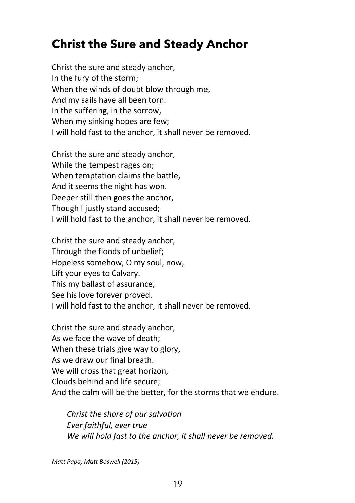### <span id="page-25-0"></span>**Christ the Sure and Steady Anchor**

Christ the sure and steady anchor, In the fury of the storm; When the winds of doubt blow through me, And my sails have all been torn. In the suffering, in the sorrow, When my sinking hopes are few; I will hold fast to the anchor, it shall never be removed.

Christ the sure and steady anchor, While the tempest rages on; When temptation claims the battle, And it seems the night has won. Deeper still then goes the anchor, Though I justly stand accused; I will hold fast to the anchor, it shall never be removed.

Christ the sure and steady anchor, Through the floods of unbelief; Hopeless somehow, O my soul, now, Lift your eyes to Calvary. This my ballast of assurance, See his love forever proved. I will hold fast to the anchor, it shall never be removed.

Christ the sure and steady anchor, As we face the wave of death; When these trials give way to glory, As we draw our final breath. We will cross that great horizon, Clouds behind and life secure; And the calm will be the better, for the storms that we endure.

*Christ the shore of our salvation Ever faithful, ever true We will hold fast to the anchor, it shall never be removed.*

*Matt Papa, Matt Boswell (2015)*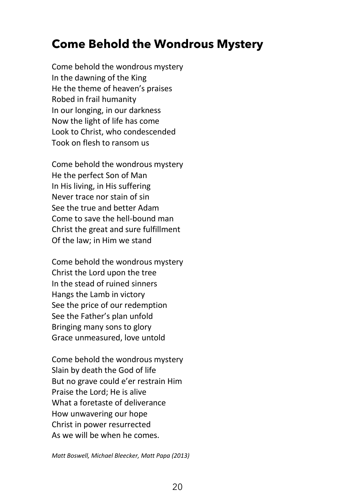#### <span id="page-26-0"></span>**Come Behold the Wondrous Mystery**

Come behold the wondrous mystery In the dawning of the King He the theme of heaven's praises Robed in frail humanity In our longing, in our darkness Now the light of life has come Look to Christ, who condescended Took on flesh to ransom us

Come behold the wondrous mystery He the perfect Son of Man In His living, in His suffering Never trace nor stain of sin See the true and better Adam Come to save the hell-bound man Christ the great and sure fulfillment Of the law; in Him we stand

Come behold the wondrous mystery Christ the Lord upon the tree In the stead of ruined sinners Hangs the Lamb in victory See the price of our redemption See the Father's plan unfold Bringing many sons to glory Grace unmeasured, love untold

Come behold the wondrous mystery Slain by death the God of life But no grave could e'er restrain Him Praise the Lord; He is alive What a foretaste of deliverance How unwavering our hope Christ in power resurrected As we will be when he comes.

*Matt Boswell, Michael Bleecker, Matt Papa (2013)*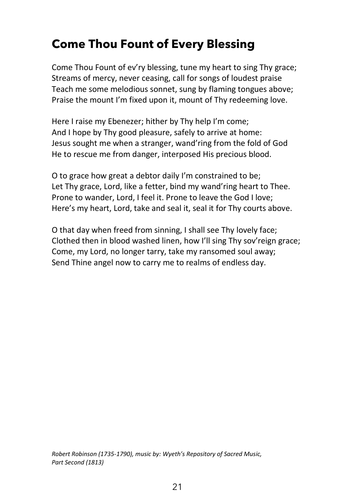## <span id="page-27-0"></span>**Come Thou Fount of Every Blessing**

Come Thou Fount of ev'ry blessing, tune my heart to sing Thy grace; Streams of mercy, never ceasing, call for songs of loudest praise Teach me some melodious sonnet, sung by flaming tongues above; Praise the mount I'm fixed upon it, mount of Thy redeeming love.

Here I raise my Ebenezer; hither by Thy help I'm come; And I hope by Thy good pleasure, safely to arrive at home: Jesus sought me when a stranger, wand'ring from the fold of God He to rescue me from danger, interposed His precious blood.

O to grace how great a debtor daily I'm constrained to be; Let Thy grace, Lord, like a fetter, bind my wand'ring heart to Thee. Prone to wander, Lord, I feel it. Prone to leave the God I love; Here's my heart, Lord, take and seal it, seal it for Thy courts above.

O that day when freed from sinning, I shall see Thy lovely face; Clothed then in blood washed linen, how I'll sing Thy sov'reign grace; Come, my Lord, no longer tarry, take my ransomed soul away; Send Thine angel now to carry me to realms of endless day.

*Robert Robinson (1735-1790), music by: Wyeth's Repository of Sacred Music, Part Second (1813)*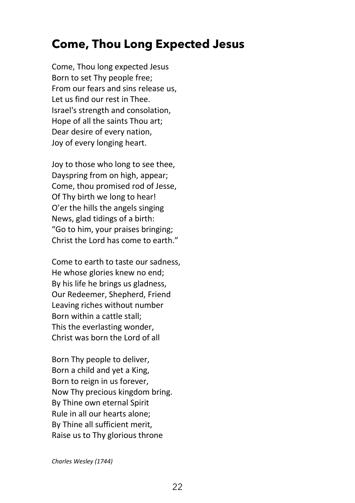#### <span id="page-28-0"></span>**Come, Thou Long Expected Jesus**

Come, Thou long expected Jesus Born to set Thy people free; From our fears and sins release us, Let us find our rest in Thee. Israel's strength and consolation, Hope of all the saints Thou art; Dear desire of every nation, Joy of every longing heart.

Joy to those who long to see thee, Dayspring from on high, appear; Come, thou promised rod of Jesse, Of Thy birth we long to hear! O'er the hills the angels singing News, glad tidings of a birth: "Go to him, your praises bringing; Christ the Lord has come to earth."

Come to earth to taste our sadness, He whose glories knew no end; By his life he brings us gladness, Our Redeemer, Shepherd, Friend Leaving riches without number Born within a cattle stall; This the everlasting wonder, Christ was born the Lord of all

Born Thy people to deliver, Born a child and yet a King, Born to reign in us forever, Now Thy precious kingdom bring. By Thine own eternal Spirit Rule in all our hearts alone; By Thine all sufficient merit, Raise us to Thy glorious throne

*Charles Wesley (1744)*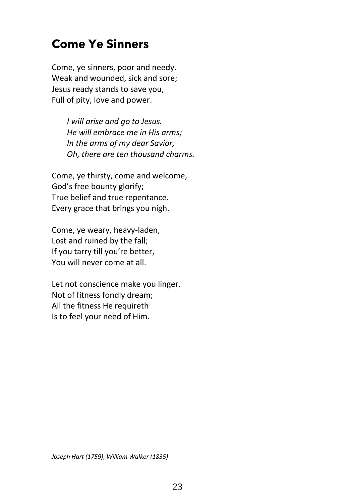#### <span id="page-29-0"></span>**Come Ye Sinners**

Come, ye sinners, poor and needy. Weak and wounded, sick and sore; Jesus ready stands to save you, Full of pity, love and power.

> *I will arise and go to Jesus. He will embrace me in His arms; In the arms of my dear Savior, Oh, there are ten thousand charms.*

Come, ye thirsty, come and welcome, God's free bounty glorify; True belief and true repentance. Every grace that brings you nigh.

Come, ye weary, heavy-laden, Lost and ruined by the fall; If you tarry till you're better, You will never come at all.

Let not conscience make you linger. Not of fitness fondly dream; All the fitness He requireth Is to feel your need of Him*.*

*Joseph Hart (1759), William Walker (1835)*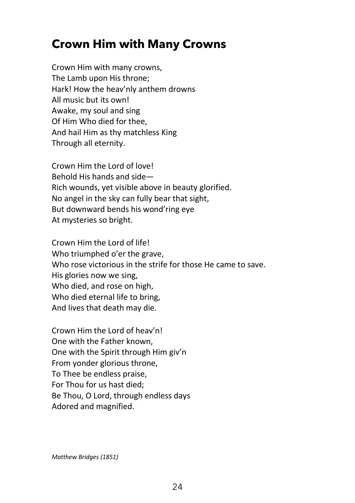#### <span id="page-30-0"></span>**Crown Him with Many Crowns**

Crown Him with many crowns, The Lamb upon His throne; Hark! How the heav'nly anthem drowns All music but its own! Awake, my soul and sing Of Him Who died for thee, And hail Him as thy matchless King Through all eternity.

Crown Him the Lord of love! Behold His hands and side— Rich wounds, yet visible above in beauty glorified. No angel in the sky can fully bear that sight, But downward bends his wond'ring eye At mysteries so bright.

Crown Him the Lord of life! Who triumphed o'er the grave, Who rose victorious in the strife for those He came to save. His glories now we sing, Who died, and rose on high, Who died eternal life to bring, And lives that death may die.

Crown Him the Lord of heav'n! One with the Father known, One with the Spirit through Him giv'n From yonder glorious throne, To Thee be endless praise, For Thou for us hast died; Be Thou, O Lord, through endless days Adored and magnified.

*Matthew Bridges (1851)*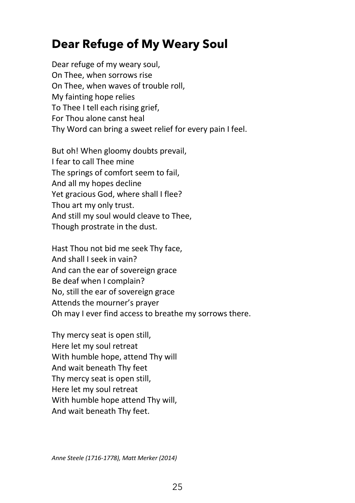### <span id="page-31-0"></span>**Dear Refuge of My Weary Soul**

Dear refuge of my weary soul, On Thee, when sorrows rise On Thee, when waves of trouble roll, My fainting hope relies To Thee I tell each rising grief, For Thou alone canst heal Thy Word can bring a sweet relief for every pain I feel.

But oh! When gloomy doubts prevail, I fear to call Thee mine The springs of comfort seem to fail, And all my hopes decline Yet gracious God, where shall I flee? Thou art my only trust. And still my soul would cleave to Thee, Though prostrate in the dust.

Hast Thou not bid me seek Thy face, And shall I seek in vain? And can the ear of sovereign grace Be deaf when I complain? No, still the ear of sovereign grace Attends the mourner's prayer Oh may I ever find access to breathe my sorrows there.

Thy mercy seat is open still, Here let my soul retreat With humble hope, attend Thy will And wait beneath Thy feet Thy mercy seat is open still, Here let my soul retreat With humble hope attend Thy will, And wait beneath Thy feet.

*Anne Steele (1716-1778), Matt Merker (2014)*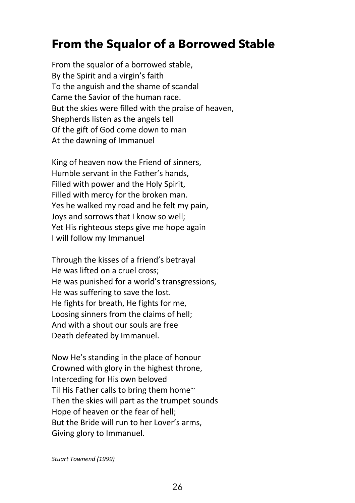### <span id="page-32-0"></span>**From the Squalor of a Borrowed Stable**

From the squalor of a borrowed stable, By the Spirit and a virgin's faith To the anguish and the shame of scandal Came the Savior of the human race. But the skies were filled with the praise of heaven, Shepherds listen as the angels tell Of the gift of God come down to man At the dawning of Immanuel

King of heaven now the Friend of sinners, Humble servant in the Father's hands, Filled with power and the Holy Spirit, Filled with mercy for the broken man. Yes he walked my road and he felt my pain, Joys and sorrows that I know so well; Yet His righteous steps give me hope again I will follow my Immanuel

Through the kisses of a friend's betrayal He was lifted on a cruel cross; He was punished for a world's transgressions, He was suffering to save the lost. He fights for breath, He fights for me, Loosing sinners from the claims of hell; And with a shout our souls are free Death defeated by Immanuel.

Now He's standing in the place of honour Crowned with glory in the highest throne, Interceding for His own beloved Til His Father calls to bring them home~ Then the skies will part as the trumpet sounds Hope of heaven or the fear of hell; But the Bride will run to her Lover's arms, Giving glory to Immanuel.

*Stuart Townend (1999)*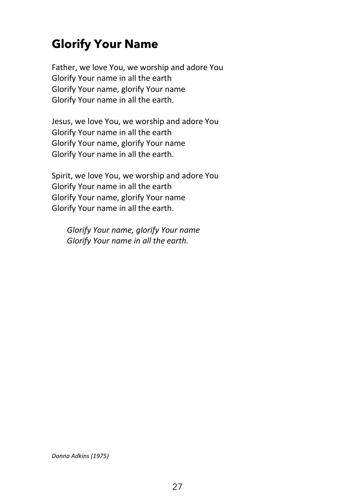## <span id="page-33-0"></span>**Glorify Your Name**

Father, we love You, we worship and adore You Glorify Your name in all the earth Glorify Your name, glorify Your name Glorify Your name in all the earth.

Jesus, we love You, we worship and adore You Glorify Your name in all the earth Glorify Your name, glorify Your name Glorify Your name in all the earth.

Spirit, we love You, we worship and adore You Glorify Your name in all the earth Glorify Your name, glorify Your name Glorify Your name in all the earth.

*Glorify Your name, glorify Your name Glorify Your name in all the earth.*

*Donna Adkins (1975)*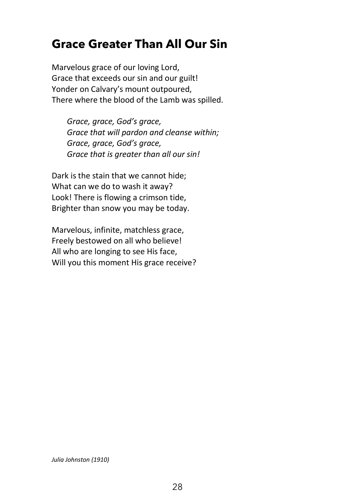#### <span id="page-34-0"></span>**Grace Greater Than All Our Sin**

Marvelous grace of our loving Lord, Grace that exceeds our sin and our guilt! Yonder on Calvary's mount outpoured, There where the blood of the Lamb was spilled.

*Grace, grace, God's grace, Grace that will pardon and cleanse within; Grace, grace, God's grace, Grace that is greater than all our sin!*

Dark is the stain that we cannot hide; What can we do to wash it away? Look! There is flowing a crimson tide, Brighter than snow you may be today.

Marvelous, infinite, matchless grace, Freely bestowed on all who believe! All who are longing to see His face, Will you this moment His grace receive?

*Julia Johnston (1910)*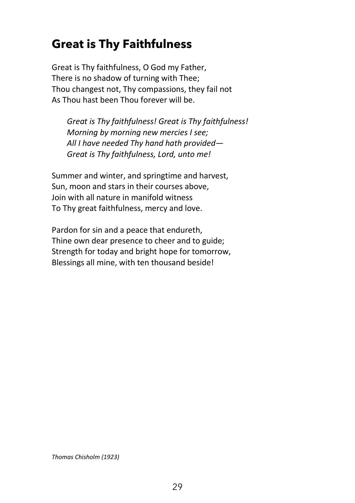### <span id="page-35-0"></span>**Great is Thy Faithfulness**

Great is Thy faithfulness, O God my Father, There is no shadow of turning with Thee; Thou changest not, Thy compassions, they fail not As Thou hast been Thou forever will be.

*Great is Thy faithfulness! Great is Thy faithfulness! Morning by morning new mercies I see; All I have needed Thy hand hath provided— Great is Thy faithfulness, Lord, unto me!*

Summer and winter, and springtime and harvest, Sun, moon and stars in their courses above, Join with all nature in manifold witness To Thy great faithfulness, mercy and love.

Pardon for sin and a peace that endureth, Thine own dear presence to cheer and to guide; Strength for today and bright hope for tomorrow, Blessings all mine, with ten thousand beside!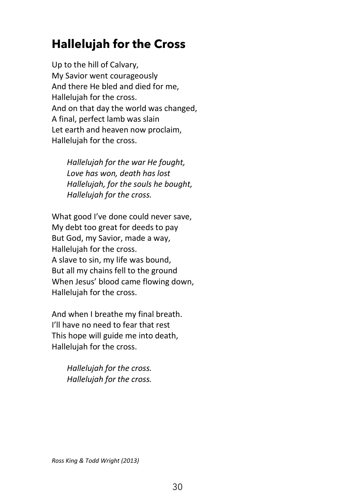# **Hallelujah for the Cross**

Up to the hill of Calvary, My Savior went courageously And there He bled and died for me, Hallelujah for the cross. And on that day the world was changed, A final, perfect lamb was slain Let earth and heaven now proclaim, Hallelujah for the cross.

*Hallelujah for the war He fought, Love has won, death has lost Hallelujah, for the souls he bought, Hallelujah for the cross.*

What good I've done could never save, My debt too great for deeds to pay But God, my Savior, made a way, Hallelujah for the cross. A slave to sin, my life was bound, But all my chains fell to the ground When Jesus' blood came flowing down, Hallelujah for the cross.

And when I breathe my final breath. I'll have no need to fear that rest This hope will guide me into death, Hallelujah for the cross.

> *Hallelujah for the cross. Hallelujah for the cross.*

*Ross King & Todd Wright (2013)*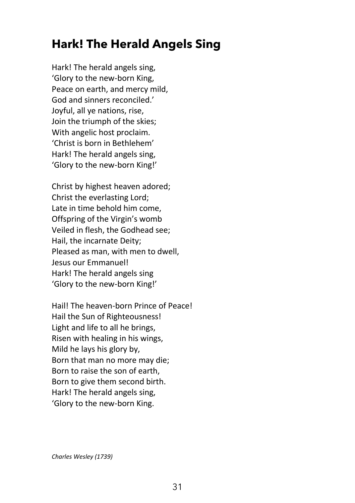### **Hark! The Herald Angels Sing**

Hark! The herald angels sing, 'Glory to the new-born King, Peace on earth, and mercy mild, God and sinners reconciled.' Joyful, all ye nations, rise, Join the triumph of the skies; With angelic host proclaim. 'Christ is born in Bethlehem' Hark! The herald angels sing, 'Glory to the new-born King!'

Christ by highest heaven adored; Christ the everlasting Lord; Late in time behold him come, Offspring of the Virgin's womb Veiled in flesh, the Godhead see; Hail, the incarnate Deity; Pleased as man, with men to dwell, Jesus our Emmanuel! Hark! The herald angels sing 'Glory to the new-born King!'

Hail! The heaven-born Prince of Peace! Hail the Sun of Righteousness! Light and life to all he brings, Risen with healing in his wings, Mild he lays his glory by, Born that man no more may die; Born to raise the son of earth, Born to give them second birth. Hark! The herald angels sing, 'Glory to the new-born King.

*Charles Wesley (1739)*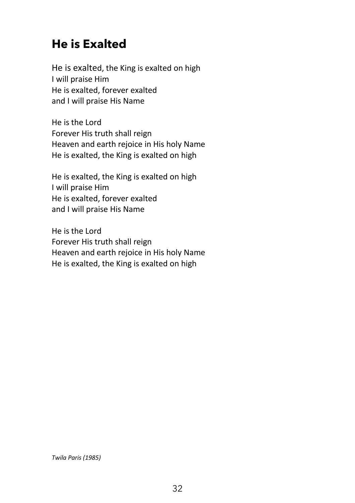# **He is Exalted**

He is exalted, the King is exalted on high I will praise Him He is exalted, forever exalted and I will praise His Name

He is the Lord Forever His truth shall reign Heaven and earth rejoice in His holy Name He is exalted, the King is exalted on high

He is exalted, the King is exalted on high I will praise Him He is exalted, forever exalted and I will praise His Name

He is the Lord Forever His truth shall reign Heaven and earth rejoice in His holy Name He is exalted, the King is exalted on high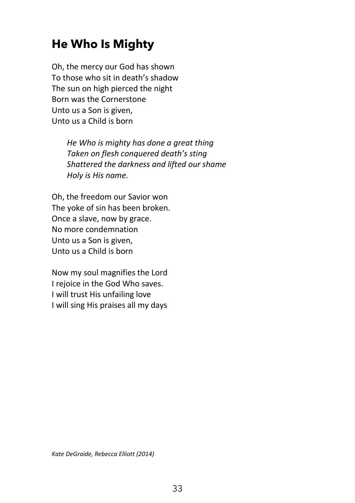# **He Who Is Mighty**

Oh, the mercy our God has shown To those who sit in death's shadow The sun on high pierced the night Born was the Cornerstone Unto us a Son is given, Unto us a Child is born

> *He Who is mighty has done a great thing Taken on flesh conquered death's sting Shattered the darkness and lifted our shame Holy is His name.*

Oh, the freedom our Savior won The yoke of sin has been broken. Once a slave, now by grace. No more condemnation Unto us a Son is given, Unto us a Child is born

Now my soul magnifies the Lord I rejoice in the God Who saves. I will trust His unfailing love I will sing His praises all my days

*Kate DeGraide, Rebecca Elliott (2014)*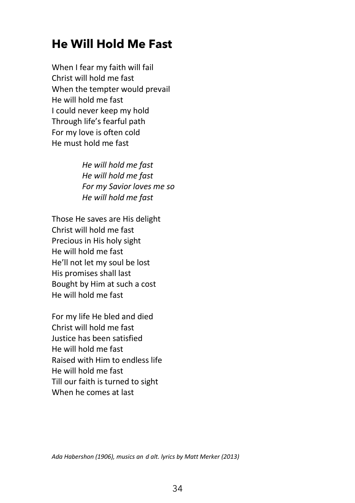## **He Will Hold Me Fast**

When I fear my faith will fail Christ will hold me fast When the tempter would prevail He will hold me fast I could never keep my hold Through life's fearful path For my love is often cold He must hold me fast

> *He will hold me fast He will hold me fast For my Savior loves me so He will hold me fast*

Those He saves are His delight Christ will hold me fast Precious in His holy sight He will hold me fast He'll not let my soul be lost His promises shall last Bought by Him at such a cost He will hold me fast

For my life He bled and died Christ will hold me fast Justice has been satisfied He will hold me fast Raised with Him to endless life He will hold me fast Till our faith is turned to sight When he comes at last

*Ada Habershon (1906), musics an d alt. lyrics by Matt Merker (2013)*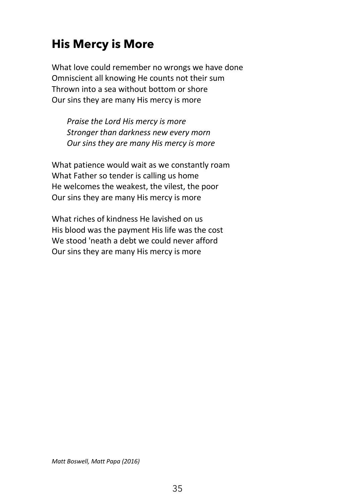# **His Mercy is More**

What love could remember no wrongs we have done Omniscient all knowing He counts not their sum Thrown into a sea without bottom or shore Our sins they are many His mercy is more

*Praise the Lord His mercy is more Stronger than darkness new every morn Our sins they are many His mercy is more*

What patience would wait as we constantly roam What Father so tender is calling us home He welcomes the weakest, the vilest, the poor Our sins they are many His mercy is more

What riches of kindness He lavished on us His blood was the payment His life was the cost We stood 'neath a debt we could never afford Our sins they are many His mercy is more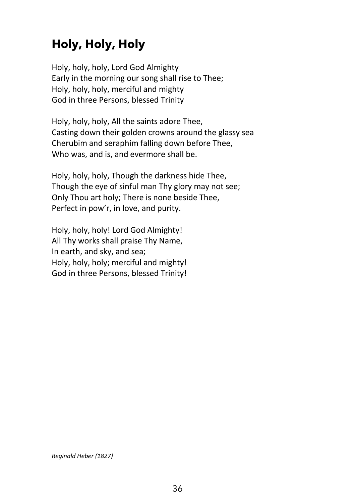# **Holy, Holy, Holy**

Holy, holy, holy, Lord God Almighty Early in the morning our song shall rise to Thee; Holy, holy, holy, merciful and mighty God in three Persons, blessed Trinity

Holy, holy, holy, All the saints adore Thee, Casting down their golden crowns around the glassy sea Cherubim and seraphim falling down before Thee, Who was, and is, and evermore shall be.

Holy, holy, holy, Though the darkness hide Thee, Though the eye of sinful man Thy glory may not see; Only Thou art holy; There is none beside Thee, Perfect in pow'r, in love, and purity.

Holy, holy, holy! Lord God Almighty! All Thy works shall praise Thy Name, In earth, and sky, and sea; Holy, holy, holy; merciful and mighty! God in three Persons, blessed Trinity!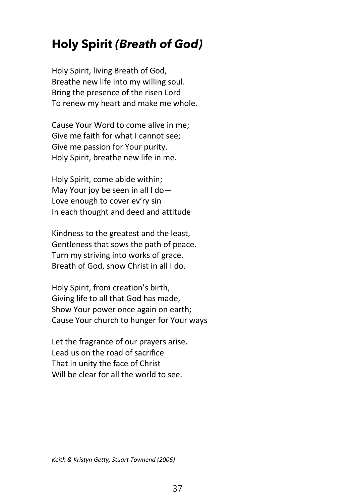## **Holy Spirit** *(Breath of God)*

Holy Spirit, living Breath of God, Breathe new life into my willing soul. Bring the presence of the risen Lord To renew my heart and make me whole.

Cause Your Word to come alive in me; Give me faith for what I cannot see; Give me passion for Your purity. Holy Spirit, breathe new life in me.

Holy Spirit, come abide within; May Your joy be seen in all I do— Love enough to cover ev'ry sin In each thought and deed and attitude

Kindness to the greatest and the least, Gentleness that sows the path of peace. Turn my striving into works of grace. Breath of God, show Christ in all I do.

Holy Spirit, from creation's birth, Giving life to all that God has made, Show Your power once again on earth; Cause Your church to hunger for Your ways

Let the fragrance of our prayers arise. Lead us on the road of sacrifice That in unity the face of Christ Will be clear for all the world to see.

*Keith & Kristyn Getty, Stuart Townend (2006)*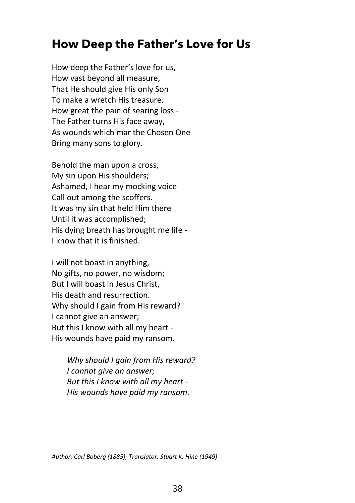### **How Deep the Father's Love for Us**

How deep the Father's love for us, How vast beyond all measure, That He should give His only Son To make a wretch His treasure. How great the pain of searing loss - The Father turns His face away, As wounds which mar the Chosen One Bring many sons to glory.

Behold the man upon a cross, My sin upon His shoulders; Ashamed, I hear my mocking voice Call out among the scoffers. It was my sin that held Him there Until it was accomplished; His dying breath has brought me life - I know that it is finished.

I will not boast in anything, No gifts, no power, no wisdom; But I will boast in Jesus Christ, His death and resurrection. Why should I gain from His reward? I cannot give an answer; But this I know with all my heart - His wounds have paid my ransom.

> *Why should I gain from His reward? I cannot give an answer; But this I know with all my heart - His wounds have paid my ransom.*

*Author: Carl Boberg (1885); Translator: Stuart K. Hine (1949)*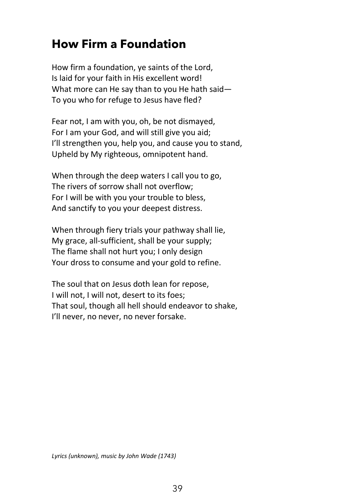# **How Firm a Foundation**

How firm a foundation, ye saints of the Lord, Is laid for your faith in His excellent word! What more can He say than to you He hath said— To you who for refuge to Jesus have fled?

Fear not, I am with you, oh, be not dismayed, For I am your God, and will still give you aid; I'll strengthen you, help you, and cause you to stand, Upheld by My righteous, omnipotent hand.

When through the deep waters I call you to go, The rivers of sorrow shall not overflow; For I will be with you your trouble to bless, And sanctify to you your deepest distress.

When through fiery trials your pathway shall lie, My grace, all-sufficient, shall be your supply; The flame shall not hurt you; I only design Your dross to consume and your gold to refine.

The soul that on Jesus doth lean for repose, I will not, I will not, desert to its foes; That soul, though all hell should endeavor to shake, I'll never, no never, no never forsake.

*Lyrics (unknown), music by John Wade (1743)*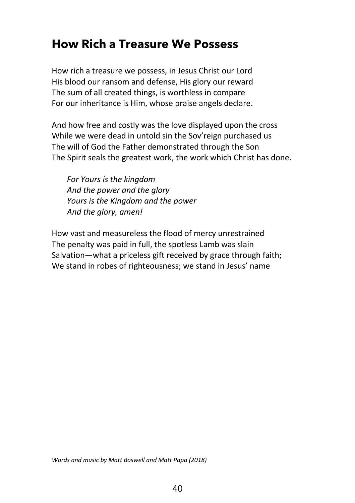### **How Rich a Treasure We Possess**

How rich a treasure we possess, in Jesus Christ our Lord His blood our ransom and defense, His glory our reward The sum of all created things, is worthless in compare For our inheritance is Him, whose praise angels declare.

And how free and costly was the love displayed upon the cross While we were dead in untold sin the Sov'reign purchased us The will of God the Father demonstrated through the Son The Spirit seals the greatest work, the work which Christ has done.

*For Yours is the kingdom And the power and the glory Yours is the Kingdom and the power And the glory, amen!*

How vast and measureless the flood of mercy unrestrained The penalty was paid in full, the spotless Lamb was slain Salvation—what a priceless gift received by grace through faith; We stand in robes of righteousness; we stand in Jesus' name

*Words and music by Matt Boswell and Matt Papa (2018)*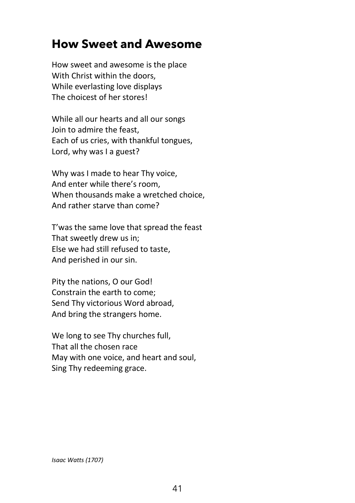#### **How Sweet and Awesome**

How sweet and awesome is the place With Christ within the doors, While everlasting love displays The choicest of her stores!

While all our hearts and all our songs Join to admire the feast, Each of us cries, with thankful tongues, Lord, why was I a guest?

Why was I made to hear Thy voice, And enter while there's room, When thousands make a wretched choice. And rather starve than come?

T'was the same love that spread the feast That sweetly drew us in; Else we had still refused to taste, And perished in our sin.

Pity the nations, O our God! Constrain the earth to come; Send Thy victorious Word abroad, And bring the strangers home.

We long to see Thy churches full, That all the chosen race May with one voice, and heart and soul, Sing Thy redeeming grace.

*Isaac Watts (1707)*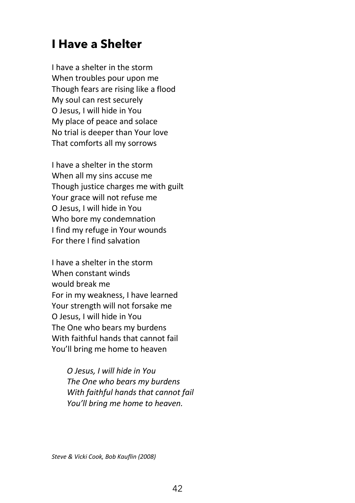### **I Have a Shelter**

I have a shelter in the storm When troubles pour upon me Though fears are rising like a flood My soul can rest securely O Jesus, I will hide in You My place of peace and solace No trial is deeper than Your love That comforts all my sorrows

I have a shelter in the storm When all my sins accuse me Though justice charges me with guilt Your grace will not refuse me O Jesus, I will hide in You Who bore my condemnation I find my refuge in Your wounds For there I find salvation

I have a shelter in the storm When constant winds would break me For in my weakness, I have learned Your strength will not forsake me O Jesus, I will hide in You The One who bears my burdens With faithful hands that cannot fail You'll bring me home to heaven

> *O Jesus, I will hide in You The One who bears my burdens With faithful hands that cannot fail You'll bring me home to heaven.*

*Steve & Vicki Cook, Bob Kauflin (2008)*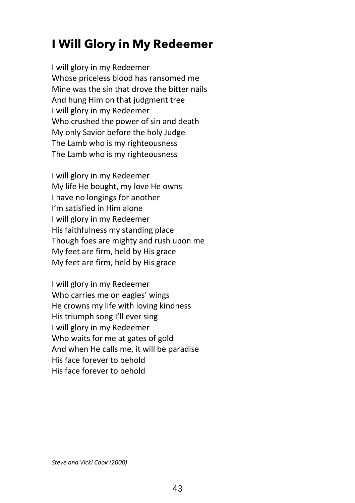# **I Will Glory in My Redeemer**

I will glory in my Redeemer Whose priceless blood has ransomed me Mine was the sin that drove the bitter nails And hung Him on that judgment tree I will glory in my Redeemer Who crushed the power of sin and death My only Savior before the holy Judge The Lamb who is my righteousness The Lamb who is my righteousness

I will glory in my Redeemer My life He bought, my love He owns I have no longings for another I'm satisfied in Him alone I will glory in my Redeemer His faithfulness my standing place Though foes are mighty and rush upon me My feet are firm, held by His grace My feet are firm, held by His grace

I will glory in my Redeemer Who carries me on eagles' wings He crowns my life with loving kindness His triumph song I'll ever sing I will glory in my Redeemer Who waits for me at gates of gold And when He calls me, it will be paradise His face forever to behold His face forever to behold

*Steve and Vicki Cook (2000)*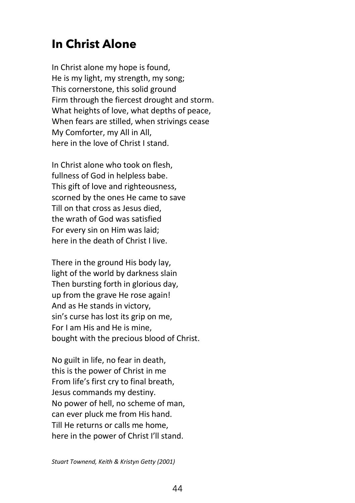# **In Christ Alone**

In Christ alone my hope is found, He is my light, my strength, my song; This cornerstone, this solid ground Firm through the fiercest drought and storm. What heights of love, what depths of peace, When fears are stilled, when strivings cease My Comforter, my All in All, here in the love of Christ I stand.

In Christ alone who took on flesh, fullness of God in helpless babe. This gift of love and righteousness, scorned by the ones He came to save Till on that cross as Jesus died, the wrath of God was satisfied For every sin on Him was laid; here in the death of Christ I live.

There in the ground His body lay, light of the world by darkness slain Then bursting forth in glorious day, up from the grave He rose again! And as He stands in victory, sin's curse has lost its grip on me, For I am His and He is mine, bought with the precious blood of Christ.

No guilt in life, no fear in death, this is the power of Christ in me From life's first cry to final breath, Jesus commands my destiny. No power of hell, no scheme of man, can ever pluck me from His hand. Till He returns or calls me home, here in the power of Christ I'll stand.

*Stuart Townend, Keith & Kristyn Getty (2001)*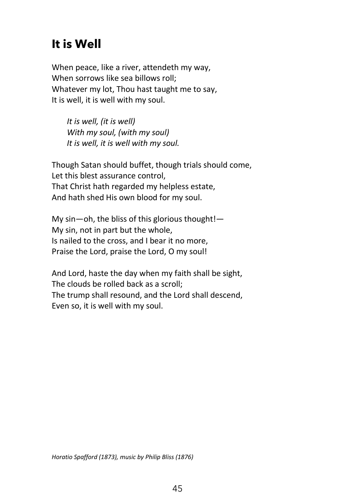# **It is Well**

When peace, like a river, attendeth my way, When sorrows like sea billows roll; Whatever my lot, Thou hast taught me to say, It is well, it is well with my soul.

*It is well, (it is well) With my soul, (with my soul) It is well, it is well with my soul.*

Though Satan should buffet, though trials should come, Let this blest assurance control, That Christ hath regarded my helpless estate, And hath shed His own blood for my soul.

My sin—oh, the bliss of this glorious thought!— My sin, not in part but the whole, Is nailed to the cross, and I bear it no more, Praise the Lord, praise the Lord, O my soul!

And Lord, haste the day when my faith shall be sight, The clouds be rolled back as a scroll; The trump shall resound, and the Lord shall descend, Even so, it is well with my soul.

*Horatio Spafford (1873), music by Philip Bliss (1876)*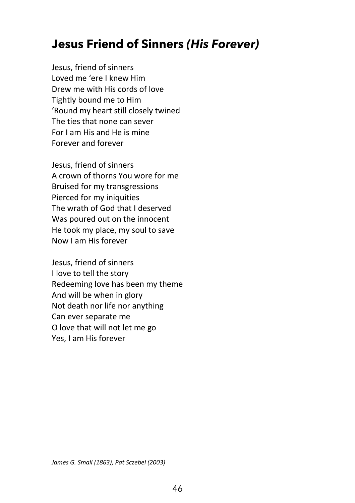#### **Jesus Friend of Sinners** *(His Forever)*

Jesus, friend of sinners Loved me 'ere I knew Him Drew me with His cords of love Tightly bound me to Him 'Round my heart still closely twined The ties that none can sever For I am His and He is mine Forever and forever

Jesus, friend of sinners A crown of thorns You wore for me Bruised for my transgressions Pierced for my iniquities The wrath of God that I deserved Was poured out on the innocent He took my place, my soul to save Now I am His forever

Jesus, friend of sinners I love to tell the story Redeeming love has been my theme And will be when in glory Not death nor life nor anything Can ever separate me O love that will not let me go Yes, I am His forever

*James G. Small (1863), Pat Sczebel (2003)*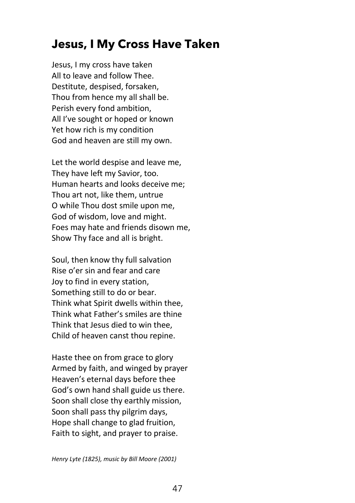### **Jesus, I My Cross Have Taken**

Jesus, I my cross have taken All to leave and follow Thee. Destitute, despised, forsaken, Thou from hence my all shall be. Perish every fond ambition, All I've sought or hoped or known Yet how rich is my condition God and heaven are still my own.

Let the world despise and leave me, They have left my Savior, too. Human hearts and looks deceive me; Thou art not, like them, untrue O while Thou dost smile upon me, God of wisdom, love and might. Foes may hate and friends disown me, Show Thy face and all is bright.

Soul, then know thy full salvation Rise o'er sin and fear and care Joy to find in every station, Something still to do or bear. Think what Spirit dwells within thee, Think what Father's smiles are thine Think that Jesus died to win thee, Child of heaven canst thou repine.

Haste thee on from grace to glory Armed by faith, and winged by prayer Heaven's eternal days before thee God's own hand shall guide us there. Soon shall close thy earthly mission, Soon shall pass thy pilgrim days, Hope shall change to glad fruition, Faith to sight, and prayer to praise.

*Henry Lyte (1825), music by Bill Moore (2001)*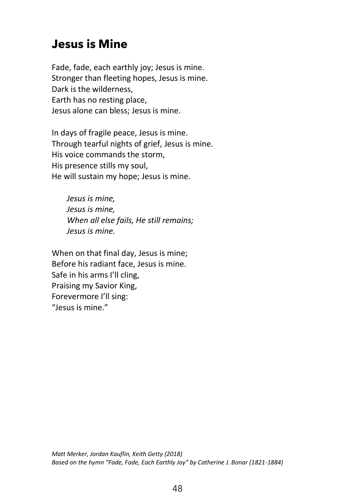# **Jesus is Mine**

Fade, fade, each earthly joy; Jesus is mine. Stronger than fleeting hopes, Jesus is mine. Dark is the wilderness, Earth has no resting place, Jesus alone can bless; Jesus is mine.

In days of fragile peace, Jesus is mine. Through tearful nights of grief, Jesus is mine. His voice commands the storm, His presence stills my soul, He will sustain my hope; Jesus is mine.

*Jesus is mine, Jesus is mine, When all else fails, He still remains; Jesus is mine.*

When on that final day, Jesus is mine; Before his radiant face, Jesus is mine. Safe in his arms I'll cling, Praising my Savior King, Forevermore I'll sing: "Jesus is mine."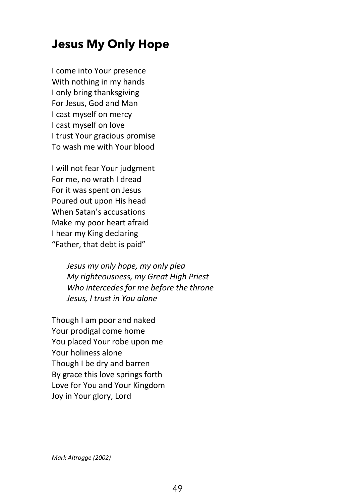#### **Jesus My Only Hope**

I come into Your presence With nothing in my hands I only bring thanksgiving For Jesus, God and Man I cast myself on mercy I cast myself on love I trust Your gracious promise To wash me with Your blood

I will not fear Your judgment For me, no wrath I dread For it was spent on Jesus Poured out upon His head When Satan's accusations Make my poor heart afraid I hear my King declaring "Father, that debt is paid"

> *Jesus my only hope, my only plea My righteousness, my Great High Priest Who intercedes for me before the throne Jesus, I trust in You alone*

Though I am poor and naked Your prodigal come home You placed Your robe upon me Your holiness alone Though I be dry and barren By grace this love springs forth Love for You and Your Kingdom Joy in Your glory, Lord

*Mark Altrogge (2002)*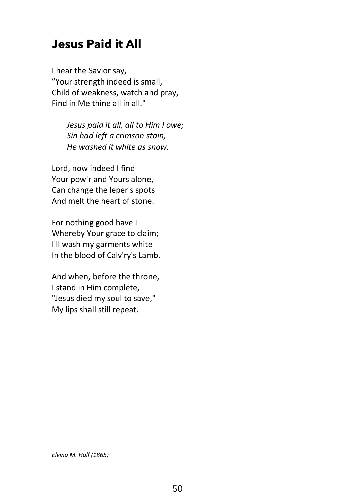#### **Jesus Paid it All**

I hear the Savior say, "Your strength indeed is small, Child of weakness, watch and pray, Find in Me thine all in all."

> *Jesus paid it all, all to Him I owe; Sin had left a crimson stain, He washed it white as snow.*

Lord, now indeed I find Your pow'r and Yours alone, Can change the leper's spots And melt the heart of stone.

For nothing good have I Whereby Your grace to claim; I'll wash my garments white In the blood of Calv'ry's Lamb.

And when, before the throne, I stand in Him complete, "Jesus died my soul to save," My lips shall still repeat.

*Elvina M. Hall (1865)*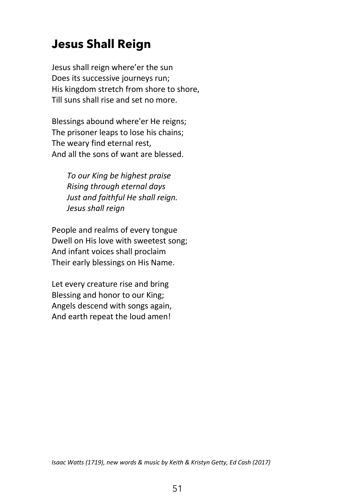# **Jesus Shall Reign**

Jesus shall reign where'er the sun Does its successive journeys run; His kingdom stretch from shore to shore, Till suns shall rise and set no more.

Blessings abound where'er He reigns; The prisoner leaps to lose his chains; The weary find eternal rest, And all the sons of want are blessed.

> *To our King be highest praise Rising through eternal days Just and faithful He shall reign. Jesus shall reign*

People and realms of every tongue Dwell on His love with sweetest song; And infant voices shall proclaim Their early blessings on His Name.

Let every creature rise and bring Blessing and honor to our King; Angels descend with songs again, And earth repeat the loud amen!

*Isaac Watts (1719), new words & music by Keith & Kristyn Getty, Ed Cash (2017)*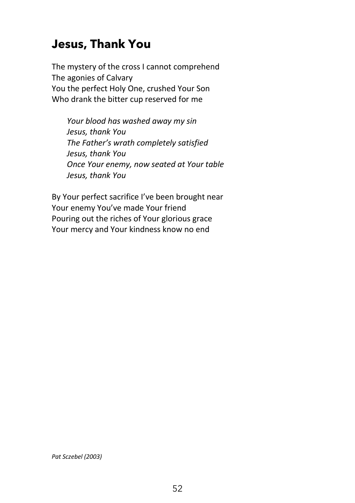## **Jesus, Thank You**

The mystery of the cross I cannot comprehend The agonies of Calvary You the perfect Holy One, crushed Your Son Who drank the bitter cup reserved for me

*Your blood has washed away my sin Jesus, thank You The Father's wrath completely satisfied Jesus, thank You Once Your enemy, now seated at Your table Jesus, thank You*

By Your perfect sacrifice I've been brought near Your enemy You've made Your friend Pouring out the riches of Your glorious grace Your mercy and Your kindness know no end

*Pat Sczebel (2003)*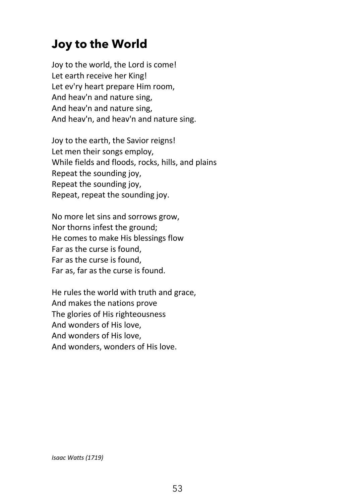# **Joy to the World**

Joy to the world, the Lord is come! Let earth receive her King! Let ev'ry heart prepare Him room, And heav'n and nature sing, And heav'n and nature sing, And heav'n, and heav'n and nature sing.

Joy to the earth, the Savior reigns! Let men their songs employ, While fields and floods, rocks, hills, and plains Repeat the sounding joy, Repeat the sounding joy, Repeat, repeat the sounding joy.

No more let sins and sorrows grow, Nor thorns infest the ground; He comes to make His blessings flow Far as the curse is found, Far as the curse is found, Far as, far as the curse is found.

He rules the world with truth and grace, And makes the nations prove The glories of His righteousness And wonders of His love, And wonders of His love, And wonders, wonders of His love.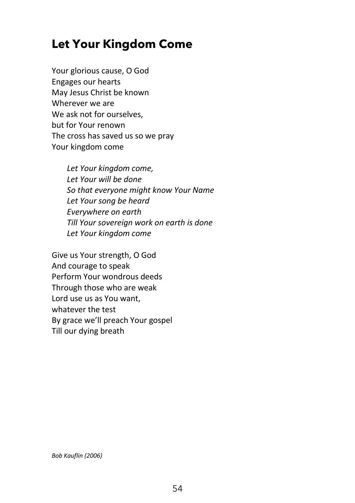### **Let Your Kingdom Come**

Your glorious cause, O God Engages our hearts May Jesus Christ be known Wherever we are We ask not for ourselves, but for Your renown The cross has saved us so we pray Your kingdom come

> *Let Your kingdom come, Let Your will be done So that everyone might know Your Name Let Your song be heard Everywhere on earth Till Your sovereign work on earth is done Let Your kingdom come*

Give us Your strength, O God And courage to speak Perform Your wondrous deeds Through those who are weak Lord use us as You want, whatever the test By grace we'll preach Your gospel Till our dying breath

*Bob Kauflin (2006)*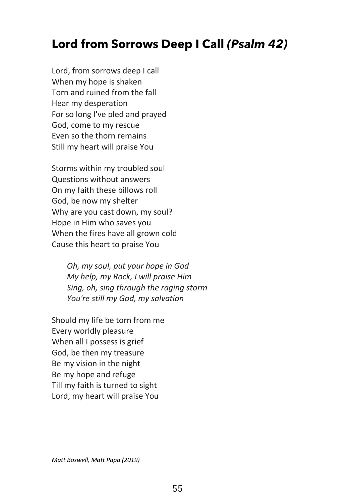### **Lord from Sorrows Deep I Call** *(Psalm 42)*

Lord, from sorrows deep I call When my hope is shaken Torn and ruined from the fall Hear my desperation For so long I've pled and prayed God, come to my rescue Even so the thorn remains Still my heart will praise You

Storms within my troubled soul Questions without answers On my faith these billows roll God, be now my shelter Why are you cast down, my soul? Hope in Him who saves you When the fires have all grown cold Cause this heart to praise You

> *Oh, my soul, put your hope in God My help, my Rock, I will praise Him Sing, oh, sing through the raging storm You're still my God, my salvation*

Should my life be torn from me Every worldly pleasure When all I possess is grief God, be then my treasure Be my vision in the night Be my hope and refuge Till my faith is turned to sight Lord, my heart will praise You

*Matt Boswell, Matt Papa (2019)*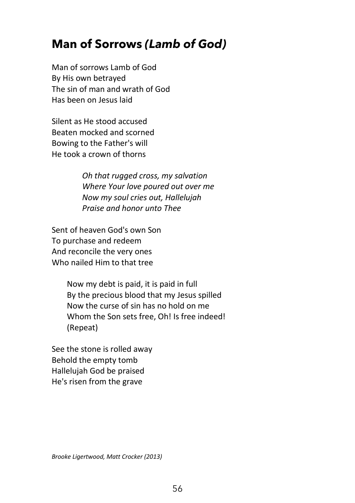#### **Man of Sorrows** *(Lamb of God)*

Man of sorrows Lamb of God By His own betrayed The sin of man and wrath of God Has been on Jesus laid

Silent as He stood accused Beaten mocked and scorned Bowing to the Father's will He took a crown of thorns

> *Oh that rugged cross, my salvation Where Your love poured out over me Now my soul cries out, Hallelujah Praise and honor unto Thee*

Sent of heaven God's own Son To purchase and redeem And reconcile the very ones Who nailed Him to that tree

> Now my debt is paid, it is paid in full By the precious blood that my Jesus spilled Now the curse of sin has no hold on me Whom the Son sets free, Oh! Is free indeed! (Repeat)

See the stone is rolled away Behold the empty tomb Hallelujah God be praised He's risen from the grave

*Brooke Ligertwood, Matt Crocker (2013)*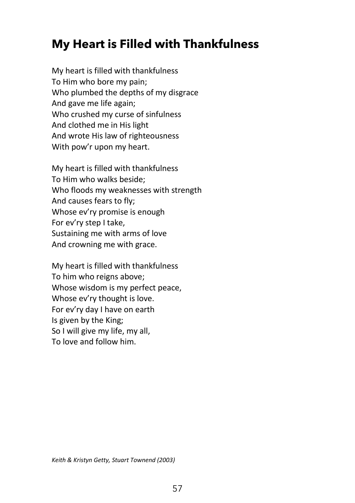### **My Heart is Filled with Thankfulness**

My heart is filled with thankfulness To Him who bore my pain; Who plumbed the depths of my disgrace And gave me life again; Who crushed my curse of sinfulness And clothed me in His light And wrote His law of righteousness With pow'r upon my heart.

My heart is filled with thankfulness To Him who walks beside; Who floods my weaknesses with strength And causes fears to fly; Whose ev'ry promise is enough For ev'ry step I take, Sustaining me with arms of love And crowning me with grace.

My heart is filled with thankfulness To him who reigns above; Whose wisdom is my perfect peace, Whose ev'ry thought is love. For ev'ry day I have on earth Is given by the King; So I will give my life, my all, To love and follow him.

*Keith & Kristyn Getty, Stuart Townend (2003)*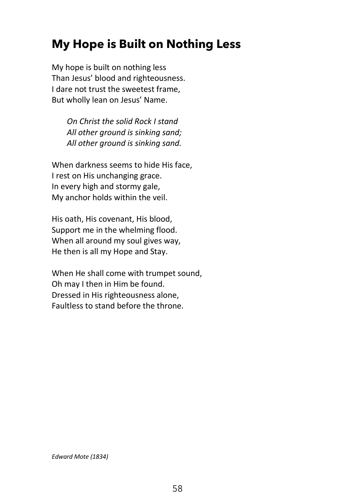### **My Hope is Built on Nothing Less**

My hope is built on nothing less Than Jesus' blood and righteousness. I dare not trust the sweetest frame, But wholly lean on Jesus' Name.

> *On Christ the solid Rock I stand All other ground is sinking sand; All other ground is sinking sand.*

When darkness seems to hide His face, I rest on His unchanging grace. In every high and stormy gale, My anchor holds within the veil.

His oath, His covenant, His blood, Support me in the whelming flood. When all around my soul gives way, He then is all my Hope and Stay.

When He shall come with trumpet sound, Oh may I then in Him be found. Dressed in His righteousness alone, Faultless to stand before the throne.

*Edward Mote (1834)*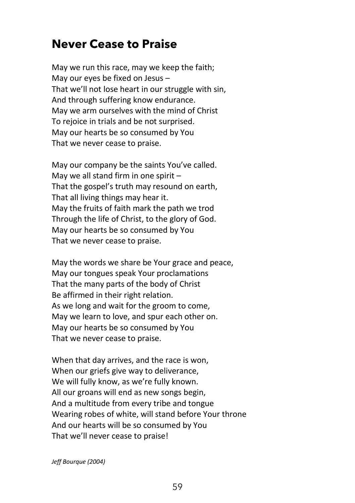### **Never Cease to Praise**

May we run this race, may we keep the faith; May our eyes be fixed on Jesus – That we'll not lose heart in our struggle with sin, And through suffering know endurance. May we arm ourselves with the mind of Christ To rejoice in trials and be not surprised. May our hearts be so consumed by You That we never cease to praise.

May our company be the saints You've called. May we all stand firm in one spirit  $-$ That the gospel's truth may resound on earth, That all living things may hear it. May the fruits of faith mark the path we trod Through the life of Christ, to the glory of God. May our hearts be so consumed by You That we never cease to praise.

May the words we share be Your grace and peace, May our tongues speak Your proclamations That the many parts of the body of Christ Be affirmed in their right relation. As we long and wait for the groom to come, May we learn to love, and spur each other on. May our hearts be so consumed by You That we never cease to praise.

When that day arrives, and the race is won, When our griefs give way to deliverance, We will fully know, as we're fully known. All our groans will end as new songs begin, And a multitude from every tribe and tongue Wearing robes of white, will stand before Your throne And our hearts will be so consumed by You That we'll never cease to praise!

*Jeff Bourque (2004)*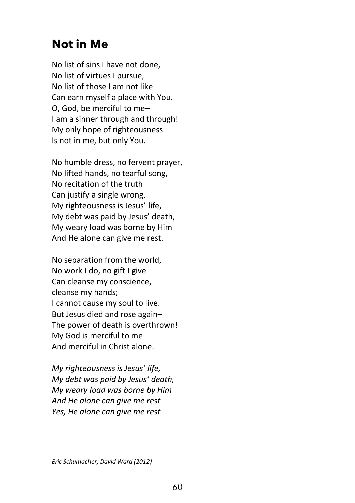# **Not in Me**

No list of sins I have not done, No list of virtues I pursue, No list of those I am not like Can earn myself a place with You. O, God, be merciful to me– I am a sinner through and through! My only hope of righteousness Is not in me, but only You.

No humble dress, no fervent prayer, No lifted hands, no tearful song, No recitation of the truth Can justify a single wrong. My righteousness is Jesus' life, My debt was paid by Jesus' death, My weary load was borne by Him And He alone can give me rest.

No separation from the world, No work I do, no gift I give Can cleanse my conscience, cleanse my hands; I cannot cause my soul to live. But Jesus died and rose again– The power of death is overthrown! My God is merciful to me And merciful in Christ alone.

*My righteousness is Jesus' life, My debt was paid by Jesus' death, My weary load was borne by Him And He alone can give me rest Yes, He alone can give me rest*

*Eric Schumacher, David Ward (2012)*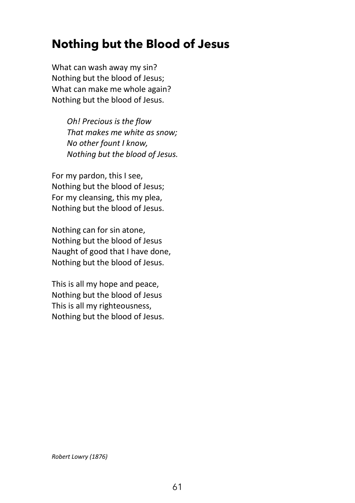#### **Nothing but the Blood of Jesus**

What can wash away my sin? Nothing but the blood of Jesus; What can make me whole again? Nothing but the blood of Jesus.

> *Oh! Precious is the flow That makes me white as snow; No other fount I know, Nothing but the blood of Jesus.*

For my pardon, this I see, Nothing but the blood of Jesus; For my cleansing, this my plea, Nothing but the blood of Jesus.

Nothing can for sin atone, Nothing but the blood of Jesus Naught of good that I have done, Nothing but the blood of Jesus.

This is all my hope and peace, Nothing but the blood of Jesus This is all my righteousness, Nothing but the blood of Jesus.

*Robert Lowry (1876)*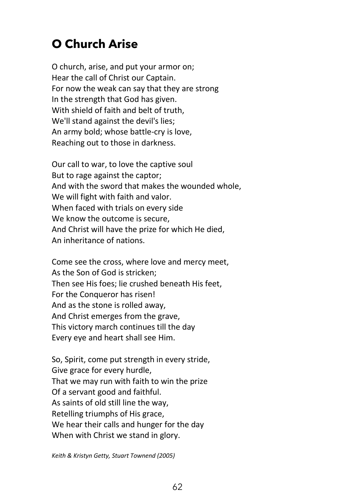# **O Church Arise**

O church, arise, and put your armor on; Hear the call of Christ our Captain. For now the weak can say that they are strong In the strength that God has given. With shield of faith and belt of truth. We'll stand against the devil's lies; An army bold; whose battle-cry is love, Reaching out to those in darkness.

Our call to war, to love the captive soul But to rage against the captor; And with the sword that makes the wounded whole, We will fight with faith and valor. When faced with trials on every side We know the outcome is secure, And Christ will have the prize for which He died, An inheritance of nations.

Come see the cross, where love and mercy meet, As the Son of God is stricken; Then see His foes; lie crushed beneath His feet, For the Conqueror has risen! And as the stone is rolled away, And Christ emerges from the grave, This victory march continues till the day Every eye and heart shall see Him.

So, Spirit, come put strength in every stride, Give grace for every hurdle, That we may run with faith to win the prize Of a servant good and faithful. As saints of old still line the way, Retelling triumphs of His grace, We hear their calls and hunger for the day When with Christ we stand in glory.

*Keith & Kristyn Getty, Stuart Townend (2005)*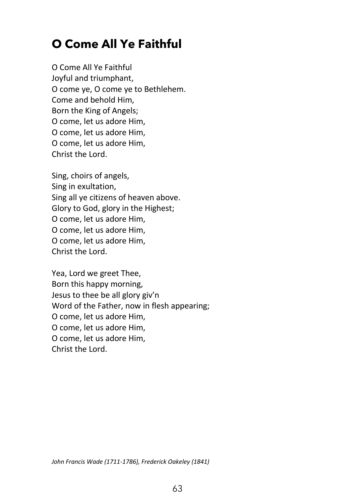# **O Come All Ye Faithful**

O Come All Ye Faithful Joyful and triumphant, O come ye, O come ye to Bethlehem. Come and behold Him, Born the King of Angels; O come, let us adore Him, O come, let us adore Him, O come, let us adore Him, Christ the Lord.

Sing, choirs of angels, Sing in exultation, Sing all ye citizens of heaven above. Glory to God, glory in the Highest; O come, let us adore Him, O come, let us adore Him, O come, let us adore Him, Christ the Lord.

Yea, Lord we greet Thee, Born this happy morning, Jesus to thee be all glory giv'n Word of the Father, now in flesh appearing; O come, let us adore Him, O come, let us adore Him, O come, let us adore Him, Christ the Lord.

*John Francis Wade (1711-1786), Frederick Oakeley (1841)*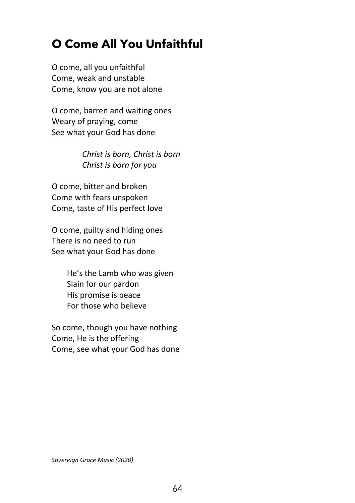# **O Come All You Unfaithful**

O come, all you unfaithful Come, weak and unstable Come, know you are not alone

O come, barren and waiting ones Weary of praying, come See what your God has done

> *Christ is born, Christ is born Christ is born for you*

O come, bitter and broken Come with fears unspoken Come, taste of His perfect love

O come, guilty and hiding ones There is no need to run See what your God has done

> He's the Lamb who was given Slain for our pardon His promise is peace For those who believe

So come, though you have nothing Come, He is the offering Come, see what your God has done

*Sovereign Grace Music (2020)*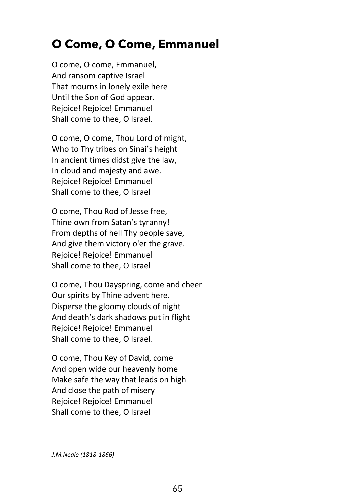### **O Come, O Come, Emmanuel**

O come, O come, Emmanuel, And ransom captive Israel That mourns in lonely exile here Until the Son of God appear. Rejoice! Rejoice! Emmanuel Shall come to thee, O Israel*.*

O come, O come, Thou Lord of might, Who to Thy tribes on Sinai's height In ancient times didst give the law, In cloud and majesty and awe. Rejoice! Rejoice! Emmanuel Shall come to thee, O Israel

O come, Thou Rod of Jesse free, Thine own from Satan's tyranny! From depths of hell Thy people save, And give them victory o'er the grave. Rejoice! Rejoice! Emmanuel Shall come to thee, O Israel

O come, Thou Dayspring, come and cheer Our spirits by Thine advent here. Disperse the gloomy clouds of night And death's dark shadows put in flight Rejoice! Rejoice! Emmanuel Shall come to thee, O Israel.

O come, Thou Key of David, come And open wide our heavenly home Make safe the way that leads on high And close the path of misery Rejoice! Rejoice! Emmanuel Shall come to thee, O Israel

*J.M.Neale (1818-1866)*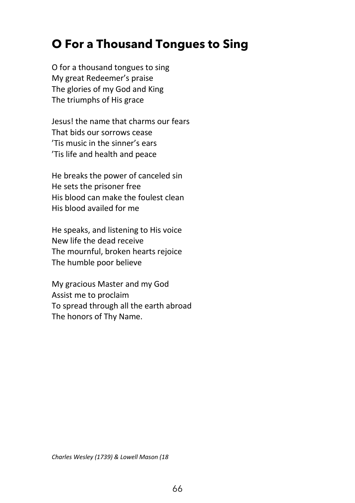# **O For a Thousand Tongues to Sing**

O for a thousand tongues to sing My great Redeemer's praise The glories of my God and King The triumphs of His grace

Jesus! the name that charms our fears That bids our sorrows cease 'Tis music in the sinner's ears 'Tis life and health and peace

He breaks the power of canceled sin He sets the prisoner free His blood can make the foulest clean His blood availed for me

He speaks, and listening to His voice New life the dead receive The mournful, broken hearts rejoice The humble poor believe

My gracious Master and my God Assist me to proclaim To spread through all the earth abroad The honors of Thy Name.

*Charles Wesley (1739) & Lowell Mason (18*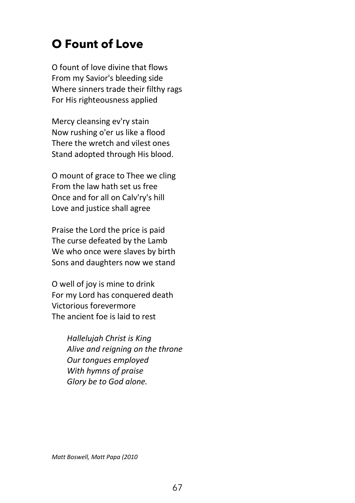# **O Fount of Love**

O fount of love divine that flows From my Savior's bleeding side Where sinners trade their filthy rags For His righteousness applied

Mercy cleansing ev'ry stain Now rushing o'er us like a flood There the wretch and vilest ones Stand adopted through His blood.

O mount of grace to Thee we cling From the law hath set us free Once and for all on Calv'ry's hill Love and justice shall agree

Praise the Lord the price is paid The curse defeated by the Lamb We who once were slaves by birth Sons and daughters now we stand

O well of joy is mine to drink For my Lord has conquered death Victorious forevermore The ancient foe is laid to rest

> *Hallelujah Christ is King Alive and reigning on the throne Our tongues employed With hymns of praise Glory be to God alone.*

*Matt Boswell, Matt Papa (2010*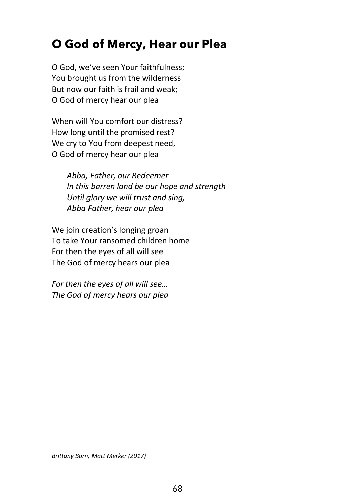### **O God of Mercy, Hear our Plea**

O God, we've seen Your faithfulness; You brought us from the wilderness But now our faith is frail and weak; O God of mercy hear our plea

When will You comfort our distress? How long until the promised rest? We cry to You from deepest need, O God of mercy hear our plea

> *Abba, Father, our Redeemer In this barren land be our hope and strength Until glory we will trust and sing, Abba Father, hear our plea*

We join creation's longing groan To take Your ransomed children home For then the eyes of all will see The God of mercy hears our plea

*For then the eyes of all will see… The God of mercy hears our plea*

*Brittany Born, Matt Merker (2017)*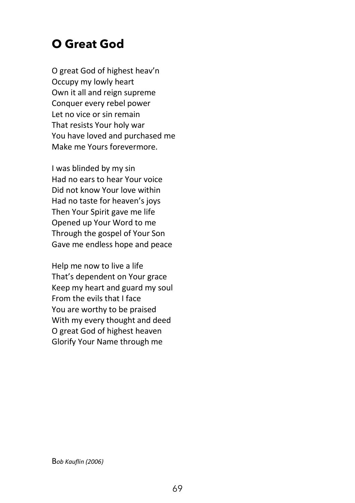# **O Great God**

O great God of highest heav'n Occupy my lowly heart Own it all and reign supreme Conquer every rebel power Let no vice or sin remain That resists Your holy war You have loved and purchased me Make me Yours forevermore.

I was blinded by my sin Had no ears to hear Your voice Did not know Your love within Had no taste for heaven's joys Then Your Spirit gave me life Opened up Your Word to me Through the gospel of Your Son Gave me endless hope and peace

Help me now to live a life That's dependent on Your grace Keep my heart and guard my soul From the evils that I face You are worthy to be praised With my every thought and deed O great God of highest heaven Glorify Your Name through me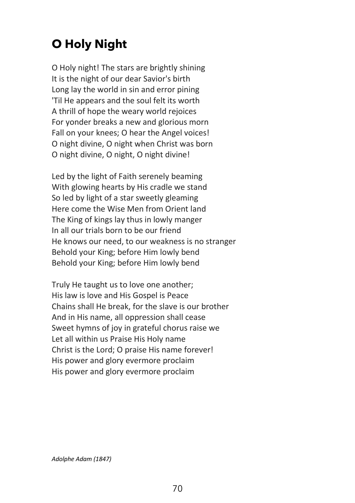# **O Holy Night**

O Holy night! The stars are brightly shining It is the night of our dear Savior's birth Long lay the world in sin and error pining 'Til He appears and the soul felt its worth A thrill of hope the weary world rejoices For yonder breaks a new and glorious morn Fall on your knees; O hear the Angel voices! O night divine, O night when Christ was born O night divine, O night, O night divine!

Led by the light of Faith serenely beaming With glowing hearts by His cradle we stand So led by light of a star sweetly gleaming Here come the Wise Men from Orient land The King of kings lay thus in lowly manger In all our trials born to be our friend He knows our need, to our weakness is no stranger Behold your King; before Him lowly bend Behold your King; before Him lowly bend

Truly He taught us to love one another; His law is love and His Gospel is Peace Chains shall He break, for the slave is our brother And in His name, all oppression shall cease Sweet hymns of joy in grateful chorus raise we Let all within us Praise His Holy name Christ is the Lord; O praise His name forever! His power and glory evermore proclaim His power and glory evermore proclaim

*Adolphe Adam (1847)*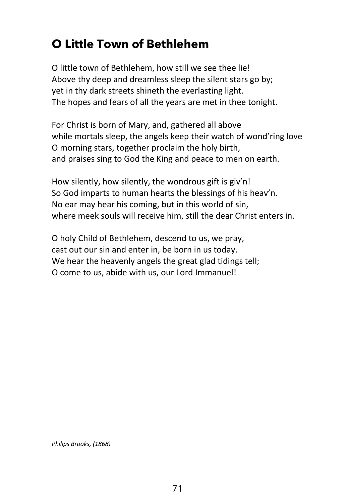# **O Little Town of Bethlehem**

O little town of Bethlehem, how still we see thee lie! Above thy deep and dreamless sleep the silent stars go by; yet in thy dark streets shineth the everlasting light. The hopes and fears of all the years are met in thee tonight.

For Christ is born of Mary, and, gathered all above while mortals sleep, the angels keep their watch of wond'ring love O morning stars, together proclaim the holy birth, and praises sing to God the King and peace to men on earth.

How silently, how silently, the wondrous gift is giv'n! So God imparts to human hearts the blessings of his heav'n. No ear may hear his coming, but in this world of sin, where meek souls will receive him, still the dear Christ enters in.

O holy Child of Bethlehem, descend to us, we pray, cast out our sin and enter in, be born in us today. We hear the heavenly angels the great glad tidings tell; O come to us, abide with us, our Lord Immanuel!

*Philips Brooks, (1868)*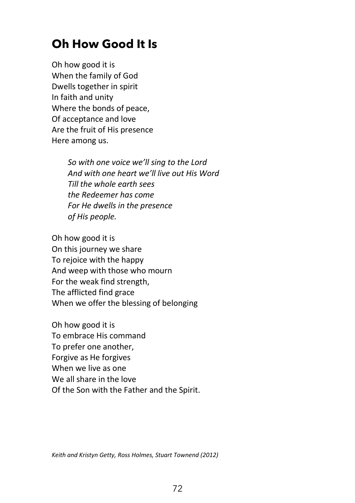### **Oh How Good It Is**

Oh how good it is When the family of God Dwells together in spirit In faith and unity Where the bonds of peace, Of acceptance and love Are the fruit of His presence Here among us.

> *So with one voice we'll sing to the Lord And with one heart we'll live out His Word Till the whole earth sees the Redeemer has come For He dwells in the presence of His people.*

Oh how good it is On this journey we share To rejoice with the happy And weep with those who mourn For the weak find strength, The afflicted find grace When we offer the blessing of belonging

Oh how good it is To embrace His command To prefer one another, Forgive as He forgives When we live as one We all share in the love Of the Son with the Father and the Spirit.

*Keith and Kristyn Getty, Ross Holmes, Stuart Townend (2012)*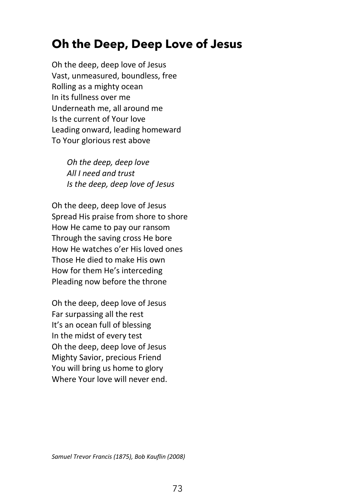#### **Oh the Deep, Deep Love of Jesus**

Oh the deep, deep love of Jesus Vast, unmeasured, boundless, free Rolling as a mighty ocean In its fullness over me Underneath me, all around me Is the current of Your love Leading onward, leading homeward To Your glorious rest above

> *Oh the deep, deep love All I need and trust Is the deep, deep love of Jesus*

Oh the deep, deep love of Jesus Spread His praise from shore to shore How He came to pay our ransom Through the saving cross He bore How He watches o'er His loved ones Those He died to make His own How for them He's interceding Pleading now before the throne

Oh the deep, deep love of Jesus Far surpassing all the rest It's an ocean full of blessing In the midst of every test Oh the deep, deep love of Jesus Mighty Savior, precious Friend You will bring us home to glory Where Your love will never end.

*Samuel Trevor Francis (1875), Bob Kauflin (2008)*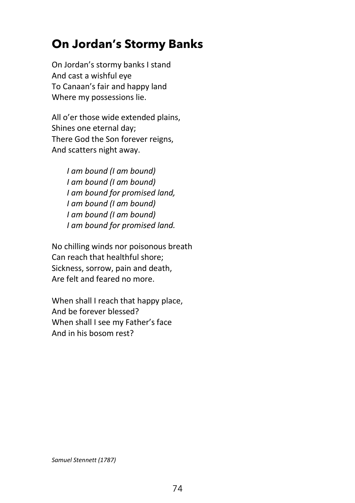# **On Jordan's Stormy Banks**

On Jordan's stormy banks I stand And cast a wishful eye To Canaan's fair and happy land Where my possessions lie.

All o'er those wide extended plains, Shines one eternal day; There God the Son forever reigns, And scatters night away.

> *I am bound (I am bound) I am bound (I am bound) I am bound for promised land, I am bound (I am bound) I am bound (I am bound) I am bound for promised land.*

No chilling winds nor poisonous breath Can reach that healthful shore; Sickness, sorrow, pain and death, Are felt and feared no more.

When shall I reach that happy place, And be forever blessed? When shall I see my Father's face And in his bosom rest?

*Samuel Stennett (1787)*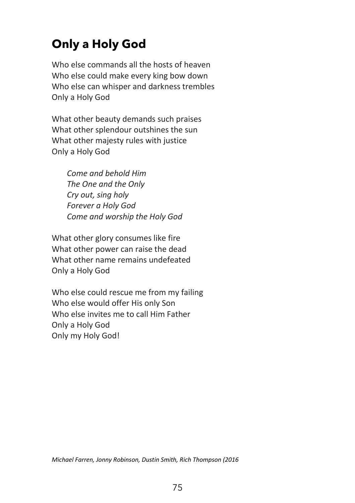# **Only a Holy God**

Who else commands all the hosts of heaven Who else could make every king bow down Who else can whisper and darkness trembles Only a Holy God

What other beauty demands such praises What other splendour outshines the sun What other majesty rules with justice Only a Holy God

*Come and behold Him The One and the Only Cry out, sing holy Forever a Holy God Come and worship the Holy God*

What other glory consumes like fire What other power can raise the dead What other name remains undefeated Only a Holy God

Who else could rescue me from my failing Who else would offer His only Son Who else invites me to call Him Father Only a Holy God Only my Holy God!

*Michael Farren, Jonny Robinson, Dustin Smith, Rich Thompson (2016*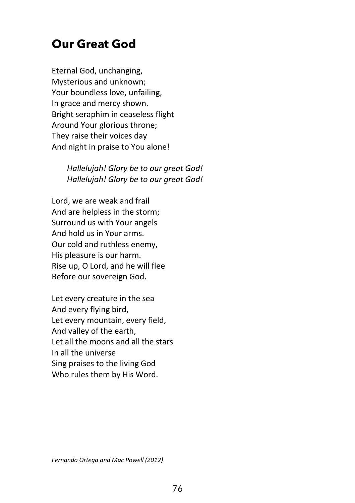### **Our Great God**

Eternal God, unchanging, Mysterious and unknown; Your boundless love, unfailing, In grace and mercy shown. Bright seraphim in ceaseless flight Around Your glorious throne; They raise their voices day And night in praise to You alone!

> *Hallelujah! Glory be to our great God! Hallelujah! Glory be to our great God!*

Lord, we are weak and frail And are helpless in the storm; Surround us with Your angels And hold us in Your arms. Our cold and ruthless enemy, His pleasure is our harm. Rise up, O Lord, and he will flee Before our sovereign God.

Let every creature in the sea And every flying bird, Let every mountain, every field, And valley of the earth, Let all the moons and all the stars In all the universe Sing praises to the living God Who rules them by His Word.

*Fernando Ortega and Mac Powell (2012)*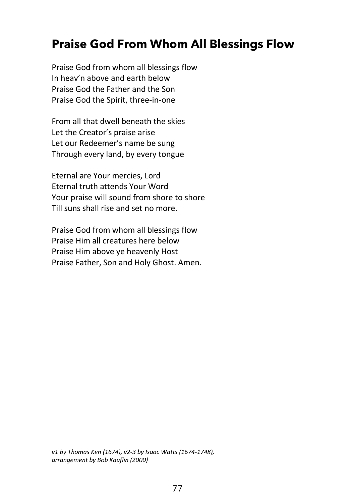#### **Praise God From Whom All Blessings Flow**

Praise God from whom all blessings flow In heav'n above and earth below Praise God the Father and the Son Praise God the Spirit, three-in-one

From all that dwell beneath the skies Let the Creator's praise arise Let our Redeemer's name be sung Through every land, by every tongue

Eternal are Your mercies, Lord Eternal truth attends Your Word Your praise will sound from shore to shore Till suns shall rise and set no more.

Praise God from whom all blessings flow Praise Him all creatures here below Praise Him above ye heavenly Host Praise Father, Son and Holy Ghost. Amen.

*v1 by Thomas Ken (1674), v2-3 by Isaac Watts (1674-1748), arrangement by Bob Kauflin (2000)*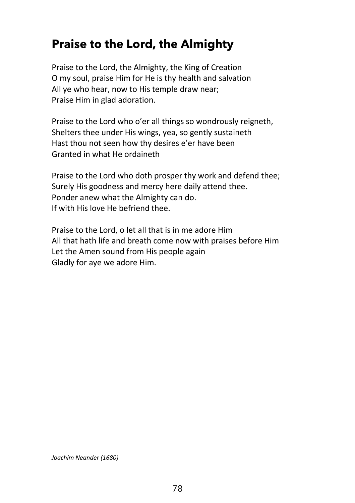# **Praise to the Lord, the Almighty**

Praise to the Lord, the Almighty, the King of Creation O my soul, praise Him for He is thy health and salvation All ye who hear, now to His temple draw near; Praise Him in glad adoration.

Praise to the Lord who o'er all things so wondrously reigneth, Shelters thee under His wings, yea, so gently sustaineth Hast thou not seen how thy desires e'er have been Granted in what He ordaineth

Praise to the Lord who doth prosper thy work and defend thee; Surely His goodness and mercy here daily attend thee. Ponder anew what the Almighty can do. If with His love He befriend thee.

Praise to the Lord, o let all that is in me adore Him All that hath life and breath come now with praises before Him Let the Amen sound from His people again Gladly for aye we adore Him.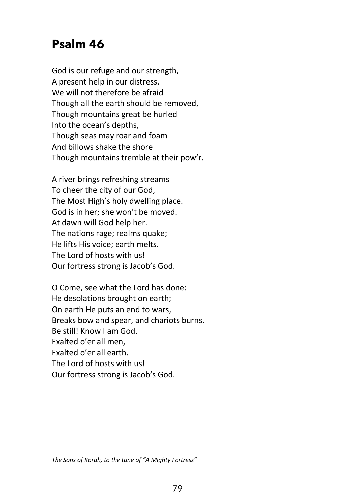#### **Psalm 46**

God is our refuge and our strength, A present help in our distress. We will not therefore be afraid Though all the earth should be removed, Though mountains great be hurled Into the ocean's depths, Though seas may roar and foam And billows shake the shore Though mountains tremble at their pow'r.

A river brings refreshing streams To cheer the city of our God, The Most High's holy dwelling place. God is in her; she won't be moved. At dawn will God help her. The nations rage; realms quake; He lifts His voice; earth melts. The Lord of hosts with us! Our fortress strong is Jacob's God.

O Come, see what the Lord has done: He desolations brought on earth; On earth He puts an end to wars, Breaks bow and spear, and chariots burns. Be still! Know I am God. Exalted o'er all men, Exalted o'er all earth. The Lord of hosts with us! Our fortress strong is Jacob's God.

*The Sons of Korah, to the tune of "A Mighty Fortress"*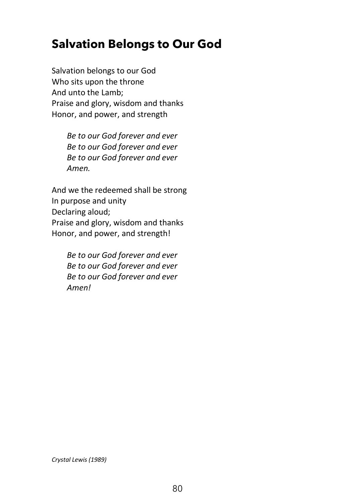### **Salvation Belongs to Our God**

Salvation belongs to our God Who sits upon the throne And unto the Lamb; Praise and glory, wisdom and thanks Honor, and power, and strength

> *Be to our God forever and ever Be to our God forever and ever Be to our God forever and ever Amen.*

And we the redeemed shall be strong In purpose and unity Declaring aloud; Praise and glory, wisdom and thanks Honor, and power, and strength!

> *Be to our God forever and ever Be to our God forever and ever Be to our God forever and ever Amen!*

*Crystal Lewis (1989)*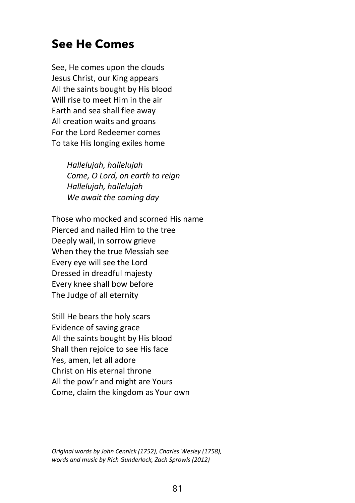### **See He Comes**

See, He comes upon the clouds Jesus Christ, our King appears All the saints bought by His blood Will rise to meet Him in the air Earth and sea shall flee away All creation waits and groans For the Lord Redeemer comes To take His longing exiles home

> *Hallelujah, hallelujah Come, O Lord, on earth to reign Hallelujah, hallelujah We await the coming day*

Those who mocked and scorned His name Pierced and nailed Him to the tree Deeply wail, in sorrow grieve When they the true Messiah see Every eye will see the Lord Dressed in dreadful majesty Every knee shall bow before The Judge of all eternity

Still He bears the holy scars Evidence of saving grace All the saints bought by His blood Shall then rejoice to see His face Yes, amen, let all adore Christ on His eternal throne All the pow'r and might are Yours Come, claim the kingdom as Your own

*Original words by John Cennick (1752), Charles Wesley (1758), words and music by Rich Gunderlock, Zach Sprowls (2012)*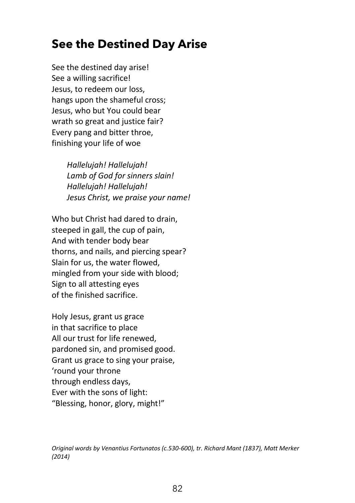### **See the Destined Day Arise**

See the destined day arise! See a willing sacrifice! Jesus, to redeem our loss, hangs upon the shameful cross; Jesus, who but You could bear wrath so great and justice fair? Every pang and bitter throe, finishing your life of woe

> *Hallelujah! Hallelujah! Lamb of God for sinners slain! Hallelujah! Hallelujah! Jesus Christ, we praise your name!*

Who but Christ had dared to drain, steeped in gall, the cup of pain, And with tender body bear thorns, and nails, and piercing spear? Slain for us, the water flowed, mingled from your side with blood; Sign to all attesting eyes of the finished sacrifice.

Holy Jesus, grant us grace in that sacrifice to place All our trust for life renewed, pardoned sin, and promised good. Grant us grace to sing your praise, 'round your throne through endless days, Ever with the sons of light: "Blessing, honor, glory, might!"

*Original words by Venantius Fortunatos (c.530-600), tr. Richard Mant (1837), Matt Merker (2014)*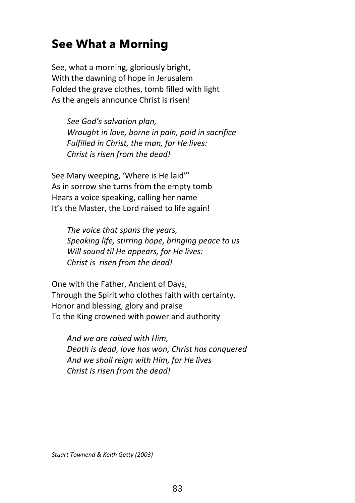### **See What a Morning**

See, what a morning, gloriously bright, With the dawning of hope in Jerusalem Folded the grave clothes, tomb filled with light As the angels announce Christ is risen!

*See God's salvation plan, Wrought in love, borne in pain, paid in sacrifice Fulfilled in Christ, the man, for He lives: Christ is risen from the dead!*

See Mary weeping, 'Where is He laid"' As in sorrow she turns from the empty tomb Hears a voice speaking, calling her name It's the Master, the Lord raised to life again!

*The voice that spans the years, Speaking life, stirring hope, bringing peace to us Will sound til He appears, for He lives: Christ is risen from the dead!*

One with the Father, Ancient of Days, Through the Spirit who clothes faith with certainty. Honor and blessing, glory and praise To the King crowned with power and authority

*And we are raised with Him, Death is dead, love has won, Christ has conquered And we shall reign with Him, for He lives Christ is risen from the dead!*

*Stuart Townend & Keith Getty (2003)*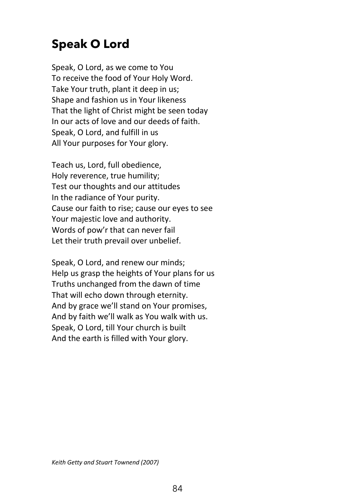# **Speak O Lord**

Speak, O Lord, as we come to You To receive the food of Your Holy Word. Take Your truth, plant it deep in us; Shape and fashion us in Your likeness That the light of Christ might be seen today In our acts of love and our deeds of faith. Speak, O Lord, and fulfill in us All Your purposes for Your glory.

Teach us, Lord, full obedience, Holy reverence, true humility; Test our thoughts and our attitudes In the radiance of Your purity. Cause our faith to rise; cause our eyes to see Your majestic love and authority. Words of pow'r that can never fail Let their truth prevail over unbelief.

Speak, O Lord, and renew our minds; Help us grasp the heights of Your plans for us Truths unchanged from the dawn of time That will echo down through eternity. And by grace we'll stand on Your promises, And by faith we'll walk as You walk with us. Speak, O Lord, till Your church is built And the earth is filled with Your glory.

*Keith Getty and Stuart Townend (2007)*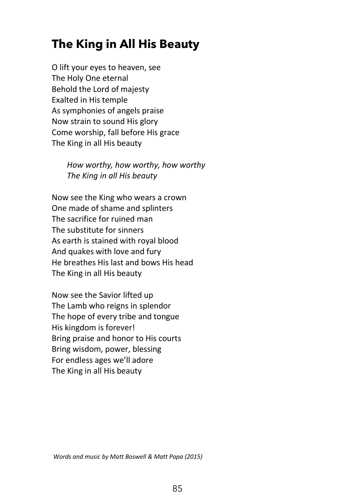### **The King in All His Beauty**

O lift your eyes to heaven, see The Holy One eternal Behold the Lord of majesty Exalted in His temple As symphonies of angels praise Now strain to sound His glory Come worship, fall before His grace The King in all His beauty

> *How worthy, how worthy, how worthy The King in all His beauty*

Now see the King who wears a crown One made of shame and splinters The sacrifice for ruined man The substitute for sinners As earth is stained with royal blood And quakes with love and fury He breathes His last and bows His head The King in all His beauty

Now see the Savior lifted up The Lamb who reigns in splendor The hope of every tribe and tongue His kingdom is forever! Bring praise and honor to His courts Bring wisdom, power, blessing For endless ages we'll adore The King in all His beauty

*Words and music by Matt Boswell & Matt Papa (2015)*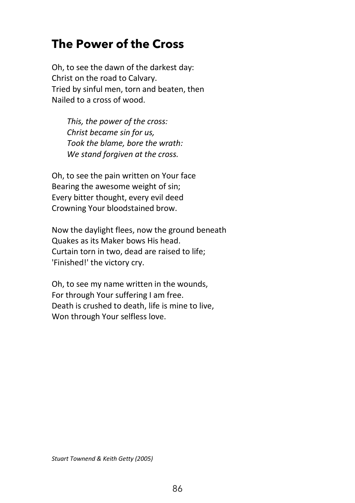#### **The Power of the Cross**

Oh, to see the dawn of the darkest day: Christ on the road to Calvary. Tried by sinful men, torn and beaten, then Nailed to a cross of wood.

*This, the power of the cross: Christ became sin for us, Took the blame, bore the wrath: We stand forgiven at the cross.*

Oh, to see the pain written on Your face Bearing the awesome weight of sin; Every bitter thought, every evil deed Crowning Your bloodstained brow.

Now the daylight flees, now the ground beneath Quakes as its Maker bows His head. Curtain torn in two, dead are raised to life; 'Finished!' the victory cry.

Oh, to see my name written in the wounds, For through Your suffering I am free. Death is crushed to death, life is mine to live, Won through Your selfless love.

*Stuart Townend & Keith Getty (2005)*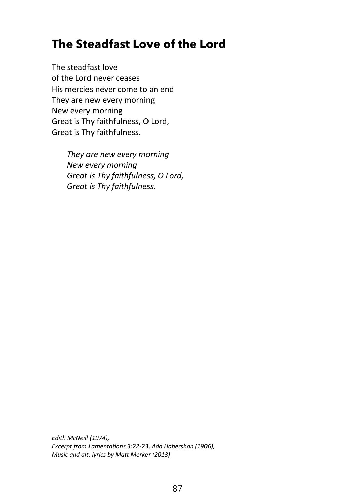#### **The Steadfast Love of the Lord**

The steadfast love of the Lord never ceases His mercies never come to an end They are new every morning New every morning Great is Thy faithfulness, O Lord, Great is Thy faithfulness.

> *They are new every morning New every morning Great is Thy faithfulness, O Lord, Great is Thy faithfulness.*

*Edith McNeill (1974), Excerpt from Lamentations 3:22-23, Ada Habershon (1906), Music and alt. lyrics by Matt Merker (2013)*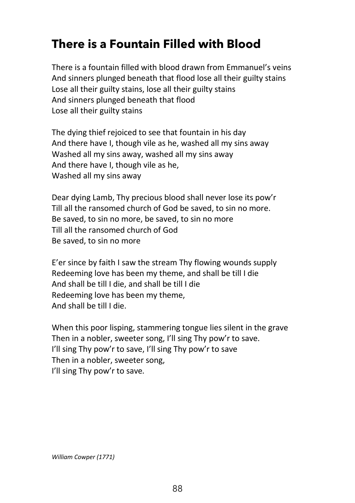### **There is a Fountain Filled with Blood**

There is a fountain filled with blood drawn from Emmanuel's veins And sinners plunged beneath that flood lose all their guilty stains Lose all their guilty stains, lose all their guilty stains And sinners plunged beneath that flood Lose all their guilty stains

The dying thief rejoiced to see that fountain in his day And there have I, though vile as he, washed all my sins away Washed all my sins away, washed all my sins away And there have I, though vile as he, Washed all my sins away

Dear dying Lamb, Thy precious blood shall never lose its pow'r Till all the ransomed church of God be saved, to sin no more. Be saved, to sin no more, be saved, to sin no more Till all the ransomed church of God Be saved, to sin no more

E'er since by faith I saw the stream Thy flowing wounds supply Redeeming love has been my theme, and shall be till I die And shall be till I die, and shall be till I die Redeeming love has been my theme, And shall be till I die.

When this poor lisping, stammering tongue lies silent in the grave Then in a nobler, sweeter song, I'll sing Thy pow'r to save. I'll sing Thy pow'r to save, I'll sing Thy pow'r to save Then in a nobler, sweeter song, I'll sing Thy pow'r to save*.*

*William Cowper (1771)*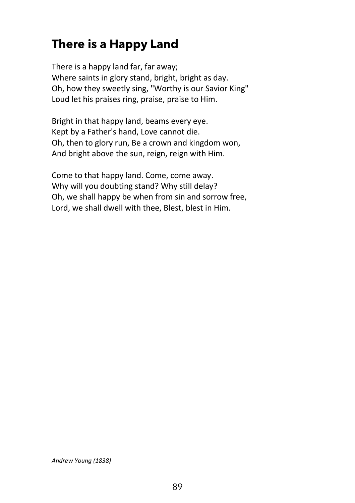# **There is a Happy Land**

There is a happy land far, far away; Where saints in glory stand, bright, bright as day. Oh, how they sweetly sing, "Worthy is our Savior King" Loud let his praises ring, praise, praise to Him.

Bright in that happy land, beams every eye. Kept by a Father's hand, Love cannot die. Oh, then to glory run, Be a crown and kingdom won, And bright above the sun, reign, reign with Him.

Come to that happy land. Come, come away. Why will you doubting stand? Why still delay? Oh, we shall happy be when from sin and sorrow free, Lord, we shall dwell with thee, Blest, blest in Him.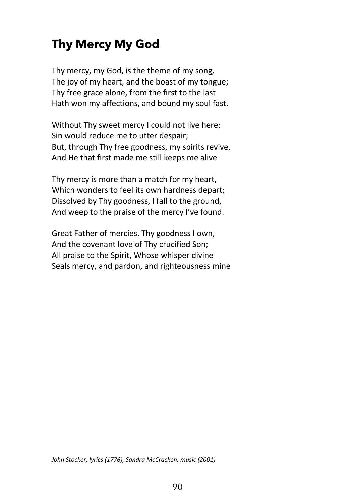# **Thy Mercy My God**

Thy mercy, my God, is the theme of my song*,* The joy of my heart, and the boast of my tongue; Thy free grace alone, from the first to the last Hath won my affections, and bound my soul fast.

Without Thy sweet mercy I could not live here; Sin would reduce me to utter despair; But, through Thy free goodness, my spirits revive, And He that first made me still keeps me alive

Thy mercy is more than a match for my heart, Which wonders to feel its own hardness depart; Dissolved by Thy goodness, I fall to the ground, And weep to the praise of the mercy I've found.

Great Father of mercies, Thy goodness I own, And the covenant love of Thy crucified Son; All praise to the Spirit, Whose whisper divine Seals mercy, and pardon, and righteousness mine

*John Stocker, lyrics (1776), Sandra McCracken, music (2001)*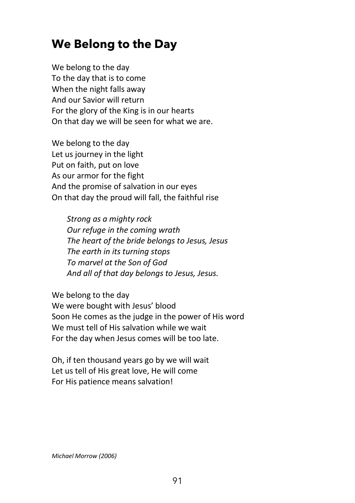### **We Belong to the Day**

We belong to the day To the day that is to come When the night falls away And our Savior will return For the glory of the King is in our hearts On that day we will be seen for what we are.

We belong to the day Let us journey in the light Put on faith, put on love As our armor for the fight And the promise of salvation in our eyes On that day the proud will fall, the faithful rise

*Strong as a mighty rock Our refuge in the coming wrath The heart of the bride belongs to Jesus, Jesus The earth in its turning stops To marvel at the Son of God And all of that day belongs to Jesus, Jesus.*

We belong to the day We were bought with Jesus' blood Soon He comes as the judge in the power of His word We must tell of His salvation while we wait For the day when Jesus comes will be too late.

Oh, if ten thousand years go by we will wait Let us tell of His great love, He will come For His patience means salvation!

*Michael Morrow (2006)*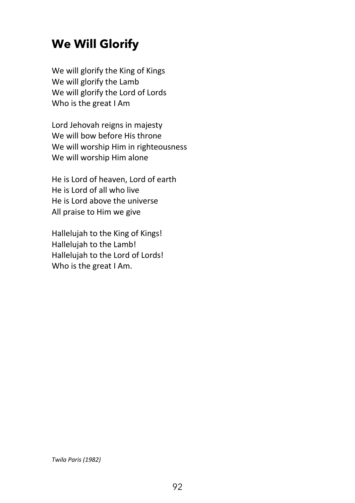### **We Will Glorify**

We will glorify the King of Kings We will glorify the Lamb We will glorify the Lord of Lords Who is the great I Am

Lord Jehovah reigns in majesty We will bow before His throne We will worship Him in righteousness We will worship Him alone

He is Lord of heaven, Lord of earth He is Lord of all who live He is Lord above the universe All praise to Him we give

Hallelujah to the King of Kings! Hallelujah to the Lamb! Hallelujah to the Lord of Lords! Who is the great I Am.

*Twila Paris (1982)*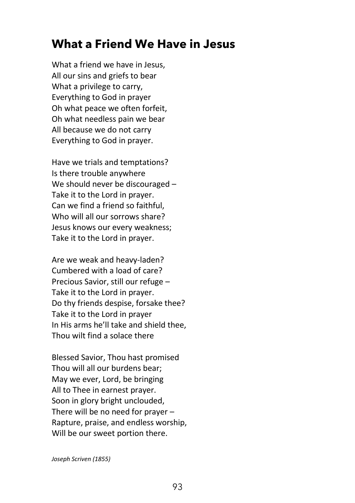#### **What a Friend We Have in Jesus**

What a friend we have in Jesus, All our sins and griefs to bear What a privilege to carry, Everything to God in prayer Oh what peace we often forfeit, Oh what needless pain we bear All because we do not carry Everything to God in prayer.

Have we trials and temptations? Is there trouble anywhere We should never be discouraged – Take it to the Lord in prayer. Can we find a friend so faithful, Who will all our sorrows share? Jesus knows our every weakness; Take it to the Lord in prayer.

Are we weak and heavy-laden? Cumbered with a load of care? Precious Savior, still our refuge – Take it to the Lord in prayer. Do thy friends despise, forsake thee? Take it to the Lord in prayer In His arms he'll take and shield thee, Thou wilt find a solace there

Blessed Savior, Thou hast promised Thou will all our burdens bear; May we ever, Lord, be bringing All to Thee in earnest prayer. Soon in glory bright unclouded, There will be no need for prayer – Rapture, praise, and endless worship, Will be our sweet portion there.

*Joseph Scriven (1855)*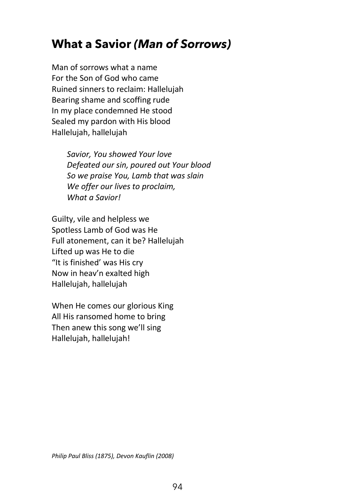#### **What a Savior** *(Man of Sorrows)*

Man of sorrows what a name For the Son of God who came Ruined sinners to reclaim: Hallelujah Bearing shame and scoffing rude In my place condemned He stood Sealed my pardon with His blood Hallelujah, hallelujah

> *Savior, You showed Your love Defeated our sin, poured out Your blood So we praise You, Lamb that was slain We offer our lives to proclaim, What a Savior!*

Guilty, vile and helpless we Spotless Lamb of God was He Full atonement, can it be? Hallelujah Lifted up was He to die "It is finished' was His cry Now in heav'n exalted high Hallelujah, hallelujah

When He comes our glorious King All His ransomed home to bring Then anew this song we'll sing Hallelujah, hallelujah!

*Philip Paul Bliss (1875), Devon Kauflin (2008)*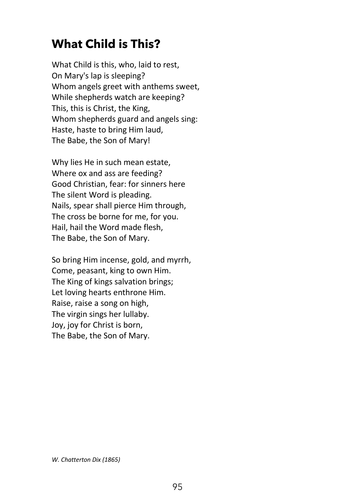# **What Child is This?**

What Child is this, who, laid to rest. On Mary's lap is sleeping? Whom angels greet with anthems sweet, While shepherds watch are keeping? This, this is Christ, the King, Whom shepherds guard and angels sing: Haste, haste to bring Him laud, The Babe, the Son of Mary!

Why lies He in such mean estate, Where ox and ass are feeding? Good Christian, fear: for sinners here The silent Word is pleading. Nails, spear shall pierce Him through, The cross be borne for me, for you. Hail, hail the Word made flesh, The Babe, the Son of Mary.

So bring Him incense, gold, and myrrh, Come, peasant, king to own Him. The King of kings salvation brings; Let loving hearts enthrone Him. Raise, raise a song on high, The virgin sings her lullaby. Joy, joy for Christ is born, The Babe, the Son of Mary.

*W. Chatterton Dix (1865)*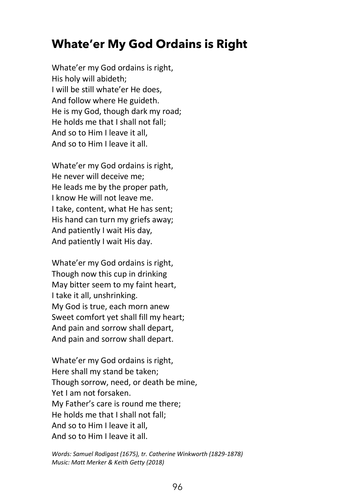#### **Whate'er My God Ordains is Right**

Whate'er my God ordains is right, His holy will abideth; I will be still whate'er He does, And follow where He guideth. He is my God, though dark my road; He holds me that I shall not fall; And so to Him I leave it all, And so to Him I leave it all.

Whate'er my God ordains is right, He never will deceive me; He leads me by the proper path, I know He will not leave me. I take, content, what He has sent; His hand can turn my griefs away; And patiently I wait His day, And patiently I wait His day.

Whate'er my God ordains is right, Though now this cup in drinking May bitter seem to my faint heart, I take it all, unshrinking. My God is true, each morn anew Sweet comfort yet shall fill my heart; And pain and sorrow shall depart, And pain and sorrow shall depart.

Whate'er my God ordains is right, Here shall my stand be taken; Though sorrow, need, or death be mine, Yet I am not forsaken. My Father's care is round me there; He holds me that I shall not fall; And so to Him I leave it all, And so to Him I leave it all.

*Words: Samuel Rodigast (1675), tr. Catherine Winkworth (1829-1878) Music: Matt Merker & Keith Getty (2018)*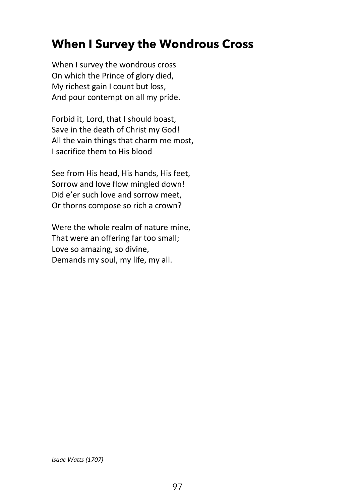### **When I Survey the Wondrous Cross**

When I survey the wondrous cross On which the Prince of glory died, My richest gain I count but loss, And pour contempt on all my pride.

Forbid it, Lord, that I should boast, Save in the death of Christ my God! All the vain things that charm me most, I sacrifice them to His blood

See from His head, His hands, His feet, Sorrow and love flow mingled down! Did e'er such love and sorrow meet, Or thorns compose so rich a crown?

Were the whole realm of nature mine, That were an offering far too small; Love so amazing, so divine, Demands my soul, my life, my all.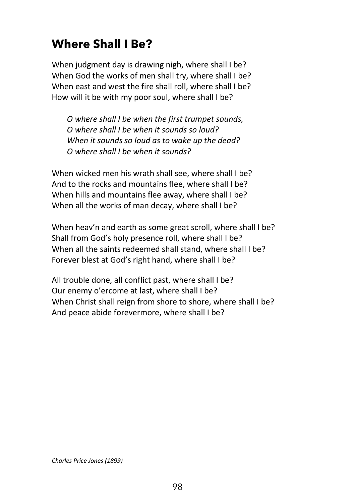# **Where Shall I Be?**

When judgment day is drawing nigh, where shall I be? When God the works of men shall try, where shall I be? When east and west the fire shall roll, where shall I be? How will it be with my poor soul, where shall I be?

*O where shall I be when the first trumpet sounds, O where shall I be when it sounds so loud? When it sounds so loud as to wake up the dead? O where shall I be when it sounds?*

When wicked men his wrath shall see, where shall I be? And to the rocks and mountains flee, where shall I be? When hills and mountains flee away, where shall I be? When all the works of man decay, where shall I be?

When heav'n and earth as some great scroll, where shall I be? Shall from God's holy presence roll, where shall I be? When all the saints redeemed shall stand, where shall I be? Forever blest at God's right hand, where shall I be?

All trouble done, all conflict past, where shall I be? Our enemy o'ercome at last, where shall I be? When Christ shall reign from shore to shore, where shall I be? And peace abide forevermore, where shall I be?

*Charles Price Jones (1899)*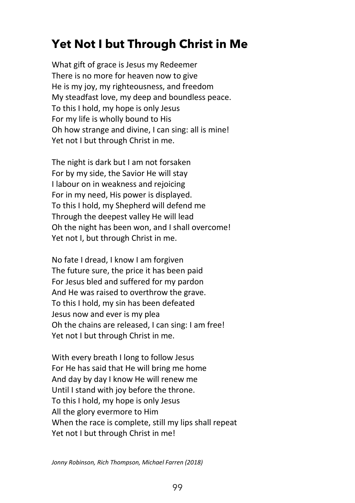# **Yet Not I but Through Christ in Me**

What gift of grace is Jesus my Redeemer There is no more for heaven now to give He is my joy, my righteousness, and freedom My steadfast love, my deep and boundless peace. To this I hold, my hope is only Jesus For my life is wholly bound to His Oh how strange and divine, I can sing: all is mine! Yet not I but through Christ in me.

The night is dark but I am not forsaken For by my side, the Savior He will stay I labour on in weakness and rejoicing For in my need, His power is displayed. To this I hold, my Shepherd will defend me Through the deepest valley He will lead Oh the night has been won, and I shall overcome! Yet not I, but through Christ in me.

No fate I dread, I know I am forgiven The future sure, the price it has been paid For Jesus bled and suffered for my pardon And He was raised to overthrow the grave. To this I hold, my sin has been defeated Jesus now and ever is my plea Oh the chains are released, I can sing: I am free! Yet not I but through Christ in me.

With every breath I long to follow Jesus For He has said that He will bring me home And day by day I know He will renew me Until I stand with joy before the throne. To this I hold, my hope is only Jesus All the glory evermore to Him When the race is complete, still my lips shall repeat Yet not I but through Christ in me!

*Jonny Robinson, Rich Thompson, Michael Farren (2018)*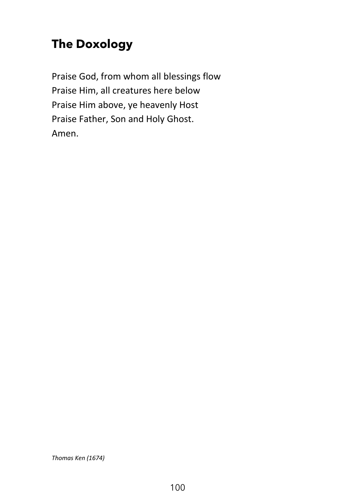# **The Doxology**

Praise God, from whom all blessings flow Praise Him, all creatures here below Praise Him above, ye heavenly Host Praise Father, Son and Holy Ghost. Amen.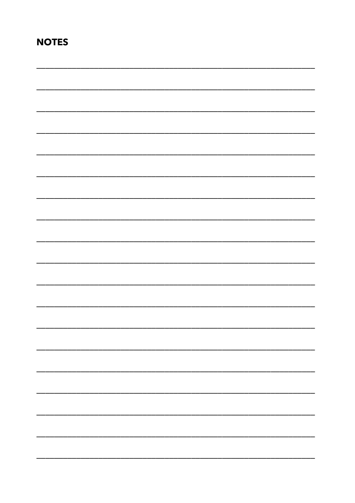#### **NOTES**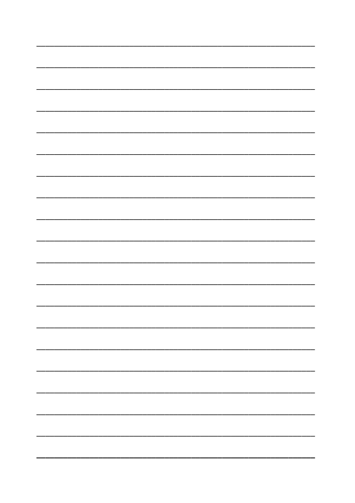